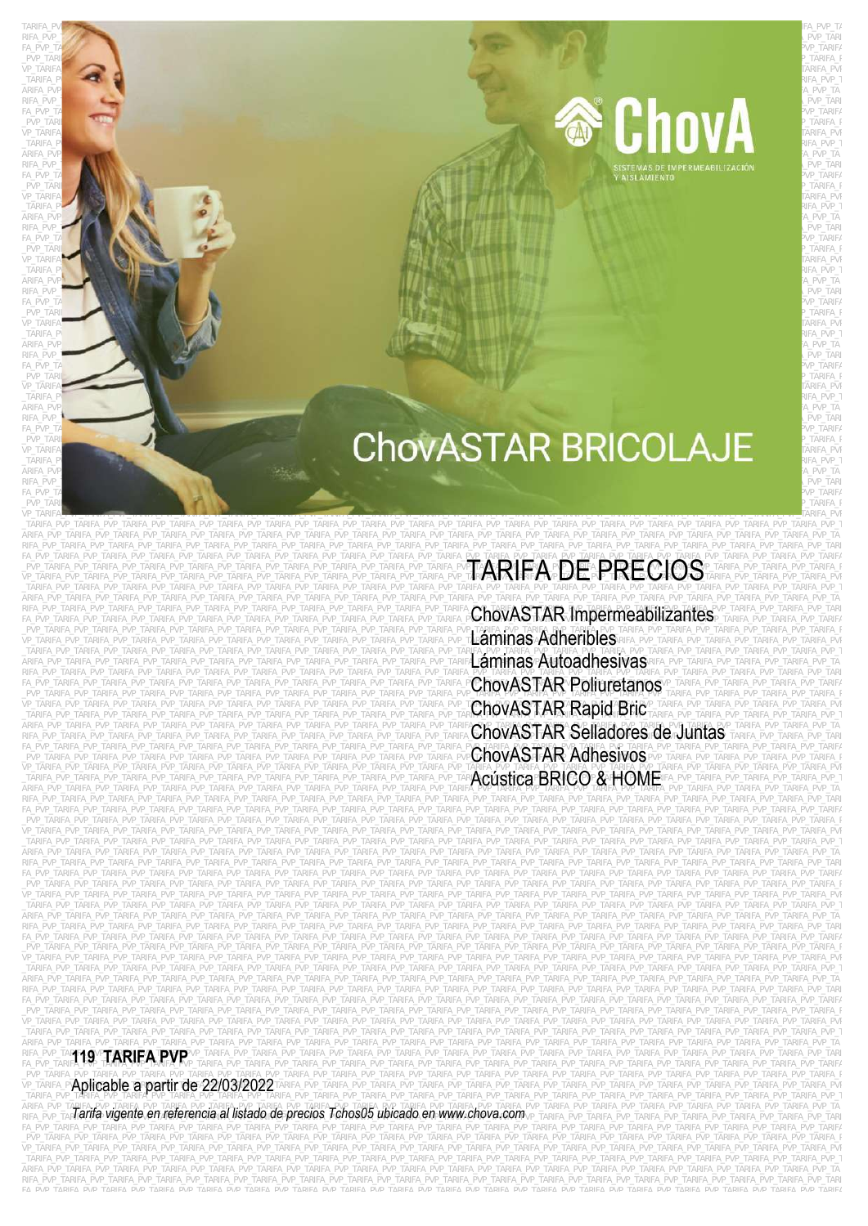RIFA\_PVP\_TARIFA\_PVP\_TARIFA\_PVP\_TARIFA\_PVP\_TARIFA\_PVP\_TARIFA\_PVP\_TARIFA\_PVP\_TARIFA\_PVP\_TARIFA\_PVP\_TARIFA\_PVP\_TARIFA FA\_PVP\_TARIFA\_PVP\_TARIFA\_PVP\_TARIFA\_PVP\_TARIFA\_PVP\_TARIFA\_PVP\_TARIFA\_PVP\_TARIFA\_PVP\_TARIFA\_PVP\_TARIFA\_PVP\_TARIFA\_PVP\_TARIFA\_PVP\_TARIFA\_PVP\_TARIFA\_PVP\_TARIFA\_PVP\_TARIFA\_PVP\_TARIFA\_PVP\_TARIFA \_PVP\_TARIFA\_PVP\_TARIFA\_PVP\_TARIFA\_PVP\_TARIFA\_PVP\_TARIFA\_PVP\_TARIFA\_PVP\_TARIFA\_PVP\_TARIFA\_PVP\_TARIFA\_PVP\_TARIFA\_PVP\_TARIFA\_PVP\_TARIFA\_PVP\_TARIFA\_PVP\_TARIFA\_PVP\_TARIFA\_PVP\_TARIFA\_PVP\_TARIFA\_P  $\vee$ P\_TARIFA $\blacksquare$ \_PVP\_TARIFA\_PVP\_TARIFA\_PVP\_TARIFA\_PVP\_TARIFA\_PVP\_TARIFA\_PVP\_TARIFA\_PVP\_TARIFA\_PVP\_TARIFA\_PVP\_TARIFA\_PVP\_TARIFA\_PVP\_TARIFA\_PVP\_TARIFA\_PVP\_TARIFA\_PVP\_TARIFA\_PVP\_TARIFA\_PVP\_TARIFA\_PVP\_TARIFA\_P  $\vee$ P\_TARIFA $\blacksquare$ Tarifa\_Tarifa\_pvp\_tarifa\_pvp\_tarifa\_pvp\_tarifa\_pvp\_tarifa\_pvp\_tarifa\_pvp\_tarifa\_pvp\_tarifa\_pvp\_tarifa\_pvp\_tarifa\_pvp\_tarifa\_pvp\_tarifa\_pvp\_tarifa\_pvp\_tarifa\_pvp\_tarifa\_pvp\_tarifa\_pvp\_tarifa\_pvp\_tarifa\_p  $T$ ARIFA\_P $\sim$   $T$ arifa $T$ arifa $T$ arifa $T$ arifa $T$ arifa $T$ arifa $T$ arifa $T$ arifa $T$ arifa $T$ arifa $T$ arifa $T$ arifa $T$ arifa $T$ arifa $T$ arifa $T$ arifa $T$ arifa $T$ arifa $T$ arifa $T$ arifa $T$ arifa $T$ arifa $T$ arifa $T$ arifa $T$ arifa $T$ ari ARIFA\_PVP\_**TARIFA\_PVP\_TARIFA\_PVP\_TARIFA\_PVP\_TARIFA\_PVP\_TARIFA\_PVP\_TARIFA\_PVP\_TARIFA\_PVP\_TARIFA\_PVP\_TARIFA\_PVP\_TARiFA\_PVP\_TA**  $R$ ifa\_pvp $\sim$ Tarifa $\sim$   $P$ v $\sim$   $P$ v $\sim$   $P$ v $\sim$   $P$ v $\sim$   $P$ v $\sim$   $P$ v $\sim$   $P$ v $\sim$   $P$ v $\sim$   $P$ v $\sim$   $P$ v $\sim$   $P$ v $\sim$   $P$ v $\sim$   $P$  $F_A=P$ vp $\Gamma$ a $P$ v $\Gamma$ apv $P$ upatari $P$ ve $P$ upatari $P$ va pv $P$  tarifa $P$ ve $P$ ve $P$ tarif $\alpha$  $\_$ PVP\_TARIF $\_$ PVP\_TARIFA\_PVP\_TARIFA\_PVP\_TARIFA\_PVP\_TARIFA\_PVP\_TARIFA\_PVP\_TARIFA\_PVP\_TARIFA\_PVP\_TARIFA\_PvP\_TARIFA\_Pv  $\vee$ P\_TARIFA $\blacksquare$  $T$ arifa\_pv $\blacksquare$ tarifa\_pve $T$ arifa\_pve $T$ arifa\_pve $T$ arifa\_pve $T$ arifa\_pve $T$ arifa\_pve $T$ arifa\_pve $T$ arifa\_pve $T$ arifa\_pve $T$ arifa\_pve $T$ arifa\_pve $T$ arifa\_pve $T$ arifa\_pve $T$ arifa\_pve $T$ arifa\_pve $T$ arifa\_pve $T$ arifa\_pve $T$ ARIFA\_PVP $\blacksquare$ PVP $\blacksquare$ Tarifa\_PVP\_TARifa\_PVP\_TARifa\_PVP\_TARifa\_PVP\_TARifa\_PVP\_TARifa\_PVP\_TARifa\_PVP\_TARifa\_PVP\_TA RIFA\_PVP\_TARIFA\_PVP\_TARIFA\_PVP\_TARIFA\_PVP\_TARIFA\_PVP\_TARIFA\_PVP\_TARIFA\_PVP\_TARIFA\_PVP\_TARIFA\_PVP\_TARIFA\_PVP\_TARIFA\_PVP\_TARIFA\_PVP\_TARIFA\_PVP\_TARIFA\_PVP\_TARIFA\_PVP\_TARIFA\_PVP\_TARIFA\_PVP\_TARIFA\_PVP\_TARIFA\_PVP\_TARIFA\_PVP\_TARI  $F_A\_PVP\_TA$  is a pvariable point  $P$  vp  $T$ arifa $P$  $\_$ PVP\_TARIFA\_PVP\_TARIFA\_PVP\_TARIFA\_PVP\_TARIFA\_PVP\_TARIFA\_PVP\_TARIFA\_PVP\_TARIFA\_PVP\_TARIFA\_PVP\_TARIFA\_PvP\_TARIFA\_P  $\vee$ P\_TARIFA $\blacksquare$  $T$ ARIFA\_PV $\blacksquare$ Pveta pv $\blacksquare$ tarifa $\blacksquare$ pveta protokomunikatifaqi arifa qarifa $\blacksquare$ pveta pveta protokomunikatifa $\blacksquare$ ARIFA\_PVP\_**TARIFA\_PVP\_TARIFA\_PVP\_TARIFA\_PVP\_TARIFA\_PVP\_TARIFA\_PVP\_TARIFA\_PVP\_TARIFA\_PVP\_TARIFA\_PVP\_TARiFA\_PVP\_TARiFA\_PVP\_TA**  $R$ ifa\_pvp $T$  tarifa\_pv $P$  tarifa $\sim$   $P$ v $P$ \_tarifa $\sim$   $P$ v $P$ \_tarifa $\sim$   $P$ v $P$ \_tarifa $\sim$   $P$ v $P$ \_tarifa $\sim$   $P$ v $P$  $F_A=P$ vp $\Gamma$ a $P$ v $P$   $\sim$   $P$ vp $\Gamma$ arif $A$  $\_$ PVP\_TARIF $\,$  $\vee$ P\_TARIFA $\blacksquare$  $\Gamma$ arifa\_pv $\Gamma$ arifa\_pv $\Gamma$ arifa\_pvp\_tarifa\_pvp\_tarifa\_pvp\_tarifa\_pvp\_tarifa\_pvp\_tarifa\_pvp\_tarifa\_pvp\_tarifa\_pvp\_tarifa\_pvp\_tarifa\_pvp\_tarifa\_pvp\_tarifa\_pvp\_tarifa\_pvp\_tarifa\_pvp\_tarifa\_pvp\_tarifa\_pvp\_tarifa\_pvp\_tarifa\_ ARIFA\_PVP<sub>L</sub> arifa\_pvertarifa\_puramifa\_puramifa\_puramifa\_pvp\_tarifa\_pvp\_tarifa\_pvp\_tarifa\_pvp\_tarifa\_pvp\_tarifa\_pvp\_ta RIFA\_PVP\_Tarifa\_pvp\_tarifa\_pvp\_tarifa\_pvp\_tarifa\_pvp\_tarifa\_pvp\_tarifa\_pvp\_tarifa\_pvp\_tarifa\_pvp\_tarifa\_pvp\_tarifa\_pvp\_tarifa\_pvp\_tarifa\_pvp\_tarifa\_pvp\_tarifa\_pvp\_tarifa\_pvp\_tarifa\_pvp\_tarifa\_pvp\_tarifa\_pvp\_tarifa\_pvp\_tari  $R$ ifa\_pvp $T$  tarifa\_pvp\_tarifa\_pvp\_tarifa\_pvp\_tarifa\_pvp\_tarifa\_pvp\_tarifa\_pvp\_tarifa\_pvp\_tarifa\_pvp\_tarifa\_pvp\_tarifa\_pvp\_tarifa\_pvp\_tarifa\_pvp\_tarifa\_pvp\_tarifa\_pvp\_tarifa\_pvp\_tarifa\_pvp\_tarifa\_pvp\_tarifa\_pvp\_tarifa\_pv  $F$ apvp $\Gamma$ apvata puntakapun tarifa puntakapun tarifa puntakapun tarifa puntakapun tarifa puntakapun tarifa puntakapun puntakapun tarifa puntakapun tarifa puntakapun tarifa puntakapun tarifa puntakapun tarifa puntakapun t  $\_$ PVP\_TARIFA\_PVP\_TARIFA\_PVP\_TARIFA\_PVP\_TARIFA\_PVP\_TARIFA\_PVP\_TARIFA\_PVP\_TARIFA\_PvP\_TARIFA\_PvP\_TARIFA\_PvP\_TARIFA\_P



# **EXPERIENCE AND A CHOVASTAR BRICOLAJE** ARIFA\_PVP\_TARIFA\_PVP\_TARIFA\_PVP\_TARIFA\_PVP\_TARIFA\_PVP\_TARIFA\_PVP\_TARIFA\_PVP\_TARIFA\_PVP\_TARIFA\_PVP\_TARIFA\_PVP\_TA

VP\_TARIFA<del>\_partama\_partama\_partama\_portama\_portama\_partama\_partama\_partama\_partama\_portama\_portama\_pratama\_protama\_protama\_protama\_protama\_protama\_protama\_protama\_protama\_protama\_protama\_protama\_protama\_protama\_protama\_pro</del> \_TARIFA\_PVP\_TARIFA\_PVP\_TARIFA\_PVP\_TARIFA\_PVP\_TARIFA\_PVP\_TARIFA\_PVP\_TARIFA\_PVP\_TARIFA\_PVP\_TARIFA\_PVP\_TARIFA\_PVP\_TARIFA\_PVP\_TARIFA\_PVP\_TARIFA\_PVP\_TARIFA\_PVP\_TARIFA\_PVP\_TARIFA\_PVP\_TARIFA\_PVP\_T ARIFA\_PVP\_TARIFA\_PVP\_TARIFA\_PVP\_TARIFA\_PVP\_TARIFA\_PVP\_TARIFA\_PVP\_TARIFA\_PVP\_TARIFA\_PVP\_TARIFA\_PVP\_TARIFA\_PVP\_TARIFA\_PVP\_TARIFA\_PVP\_TARIFA\_PVP\_TARIFA\_PVP\_TARIFA\_PVP\_TARIFA\_PVP\_TARIFA\_PVP\_TA RIFA\_PVP\_TARIFA\_PVP\_TARIFA\_PVP\_TARIFA\_PVP\_TARIFA\_PVP\_TARIFA\_PVP\_TARIFA\_PVP\_TARIFA\_PVP\_TARIFA\_PVP\_TARIFA\_PVP\_TARIFA\_PVP\_TARIFA\_PVP\_TARIFA\_PVP\_TARIFA\_PVP\_TARIFA\_PVP\_TARIFA\_PVP\_TARIFA\_PVP\_TARI

TARIFA\_PVP\_TARIFA\_PVP\_TARIFA\_PVP\_TARIFA\_PVP\_TARIFA\_PVP\_TARIFA\_PVP\_TARIFA\_PVP\_TARIFA\_PVP\_TARIFA\_PVP\_TARIFA\_PVP\_TA

FA PVP\_TARIFA\_PVP\_TARIFA\_PVP\_TARIFA\_PVP\_TARIFA\_PVP\_TARIFA\_PVP\_TARIFA\_PVP\_TARIFA\_PVP\_TARIFA\_PVP\_TARIFA\_PVP\_TARIFA\_PVD\_TARIFA\_PVP\_TARIFA\_PVP\_TARIFA\_PVP\_TARIFA\_PVP\_TARIFA\_PVP\_TARIFA\_PVP\_TARIFA\_PVP\_TARIFA\_PVP\_TARIFA\_PVP\_TARIFA \_TARIFA\_PVP\_TARIFA\_PVP\_TARIFA\_PVP\_TARIFA\_PVP\_TARIFA\_PVP\_TARIFA\_PVP\_TARIFA\_PVP\_TARIFA\_PVP\_TARIFA\_PVP\_TARIFA\_PVP\_TARIFA\_PVP\_TARIFA\_PVP\_TARIFA\_PVP\_TARIFA\_PVP\_TARIFA\_PVP\_TARIFA\_PVP\_TARIFA\_PVP\_T ARIFA\_PVP\_TARIFA\_PVP\_TARIFA\_PVP\_TARIFA\_PVP\_TARIFA\_PVP\_TARIFA\_PVP\_TARIFA\_PVP\_TARIFA\_PVP\_TARIFA\_PVP\_TARIFA\_PVP\_TARIFA\_PVP\_TARIFA\_PVP\_TARIFA\_PVP\_TARIFA\_PVP\_TARIFA\_PVP\_TARIFA\_PVP\_TARIFA\_PVP\_TA rifa\_pvp\_tarifa\_pvp\_tarifa\_pvp\_tarifa\_pvp\_tarifa\_pvp\_tarifa\_pvp\_tarifa\_pvp\_tarifa\_pvp\_tarifa\_pvp\_tarifa\_pvp\_tarifa\_pvp\_tarifa\_pvp\_tarifa\_pvp\_tarifa\_pvp\_tarifa\_pvp\_tarifa\_pvp\_tarifa\_pvp\_tarifa\_pvp\_tarifa\_pvp\_tarifa\_pvp\_tari \_PVP\_TARIFA\_PVP\_TARIFA\_PVP\_TARIFA\_PVP\_TARIFA\_PVP\_TARIFA\_PVP\_TARIFA\_PVP\_TARIFA\_PVP\_TARIFA\_PVP\_TARIFA\_PVP\_TARIFA\_PVP\_TARIFA\_PVP\_TARIFA\_PVP\_TARIFA\_PVP\_TARIFA\_PVP\_TARIFA\_PVP\_TARIFA\_PVP\_TARIFA\_PVP\_TARIFA\_PVP\_TARIFA\_PVP\_TARIFA\_P \_TARIFA\_PVP\_TARIFA\_PVP\_TARIFA\_PVP\_TARIFA\_PVP\_TARIFA\_PVP\_TARIFA\_PVP\_TARIFA\_PVP\_TARIFA\_PVP\_TARIFA\_PVP\_TARIFA\_PVP\_TARIFA\_PVP\_TARIFA\_PVP\_TARIFA\_PVP\_TARIFA\_PVP\_TARIFA\_PVP\_TARIFA\_PVP\_TARIFA\_PVP\_TARIFA\_PVP\_TARIFA\_PVP\_TARIFA\_PVP\_T RIFA\_PVP\_TARIFA\_PVP\_TARIFA\_PVP\_TARIFA\_PVP\_TARIFA\_PVP\_TARIFA\_PVP\_TARIFA\_PVP\_TARIFA\_PVP\_TARIFA\_PVP\_TARIFA\_PVP\_TARIFA\_PVP\_TARIFA\_PVP\_TARIFA\_PVP\_TARIFA\_PVP\_TARIFA\_PVP\_TARIFA\_PVP\_TARIFA\_PVP\_TARI FA\_PVP\_TARIFA\_PVP\_TARIFA\_PVP\_TARIFA\_PVP\_TARIFA\_PVP\_TARIFA\_PVP\_TARIFA\_PVP\_TARIFA\_PVP\_TARIFA\_PV**P\_TARIFA\_PVD\_TARIFA**<br>PVP\_TARIFA\_PVP\_TARIFA\_PVP\_TARIFA\_PVP\_TARIFA\_PVP\_TARIFA\_PVP\_TARIFA\_PVP\_TARIFA\_PVP\_TARIFA\_PV**P\_TARIFA\_PVD\_TAR** \_PVP\_TARIFA\_PVP\_TARIFA\_PVP\_TARIFA\_PVP\_TARIFA\_PVP\_TARIFA\_PVP\_TARIFA\_PVP\_TARIFA\_PVP\_TARIFA\_PVP\_TARIFA\_PVP\_TARIFA\_PVP\_TARIFA\_PVP\_TARIFA\_PVP\_TARIFA\_PVP\_TARIFA\_PVP\_TARIFA\_PVP\_TARIFA\_PVP\_TARIFA\_P VP\_TARIFA\_PVP\_TARIFA\_PVP\_TARIFA\_PVP\_TARIFA\_PVP\_TARIFA\_PVP\_TARIFA\_PVP\_TARIFA\_PVP\_TARIFA\_PVP\_TARIFA**\_PVD\_TARIFA\_PVD\_TARIFA\_PVP\_TARIFA\_PVP\_TARIFA\_PVP\_TARIFA\_PVP\_TARIFA\_PVP\_TARIFA\_PVP\_TARIFA\_PVP\_TARIFA\_PVP\_TARIFA\_PVP\_TARIFA\_PV** arifa\_pvp\_tarifa\_pvp\_tarifa\_pvp\_tarifa\_pvp\_tarifa\_pvp\_tarifa\_pvp\_tarifa\_pvp\_tarifa\_pvp\_tarifa\_pvp\_tarifa\_pvp\_tarifa\_pvp\_tarifa\_pvp\_tarifa\_pvp\_tarifa\_pvp\_tarifa\_pvp\_tarifa\_pvp\_tarifa\_pvp\_tarifa\_pvp\_tarifa\_pvp\_tarifa\_pvp\_tar FA\_PVP\_TARIFA\_PVP\_TARIFA\_PVP\_TARIFA\_PVP\_TARIFA\_PVP\_TARIFA\_PVP\_TARIFA\_PVP\_TARIFA\_PVP\_TARIFA\_PVP\_TARIFA\_PVP\_TARIFA\_PVP\_TARIFA\_PVP\_TARIFA\_PVP\_TARIFA\_PVP\_TARIFA\_PVP\_TARIFA\_PVP\_TARIFA\_PVP\_TARIFA\_PVP\_TARIFA\_PVP\_TARIFA\_PVP\_TARIFA

VP\_TARIFA\_PVP\_TARIFA\_PVP\_TARIFA\_PVP\_TARIFA\_PVP\_TARIFA\_PVP\_TARIFA\_PVP\_TARIFA\_PVP\_TARIFA\_PVP\_TARIFA\_PVP\_TARIFA\_PVP\_TARIFA\_PVP\_TARIFA\_PVP\_TARIFA\_PVP\_TARIFA\_PVP\_TARIFA\_PVP\_TARIFA\_PVP\_TARIFA\_PVP\_TARIFA\_PVP\_TARIFA\_PVP\_TARIFA\_PVP

ARIFA\_PVP\_TARIFA\_PVP\_TARIFA\_PVP\_TARIFA\_PVP\_TARIFA\_PVP\_TARIFA\_PVP\_TARIFA\_PVP\_TARIFA\_PVP\_TARIFA\_PVP\_TARIFA\_PVP\_TARIFA\_PVP\_TARIFA\_PVP\_TARIFA\_PVP\_TARIFA\_PVP\_TARIFA\_PVP\_TARIFA\_PVP\_TARIFA\_PVP\_TA RIFA\_PVP\_TARIFA\_PVP\_TARIFA\_PVP\_TARIFA\_PVP\_TARIFA\_PVP\_TARIFA\_PVP\_TARIFA\_PVP\_TARIFA\_PVP\_TARIFA\_PVP\_TARIFA\_PVP\_TARIFA\_PVP\_TARIFA\_PVP\_TARIFA\_PVP\_TARIFA\_PVP\_TARIFA\_PVP\_TARIFA\_PVP\_TARIFA\_PVP\_TARI FA\_PVP\_TARIFA\_PVP\_TARIFA\_PVP\_TARIFA\_PVP\_TARIFA\_PVP\_TARIFA\_PVP\_TARIFA\_PVP\_TARIFA\_PVP\_TARIFA\_PVP\_TARIFA\_PVP\_TARIFA\_PVP\_TARIFA\_PVP\_TARIFA\_PVP\_TARIFA\_PVP\_TARIFA\_PVP\_TARIFA\_PVP\_TARIFA\_PVP\_TARIFA \_PVP\_TARIFA\_PVP\_TARIFA\_PVP\_TARIFA\_PVP\_TARIFA\_PVP\_TARIFA\_PVP\_TARIFA\_PVP\_TARIFA\_PVP\_TARIFA\_PVP\_TARIFA\_PVP\_TARIFA\_PVP\_TARIFA\_PVP\_TARIFA\_PVP\_TARIFA\_PVP\_TARIFA\_PVP\_TARIFA\_PVP\_TARIFA\_PVP\_TARIFA\_P VP\_TARIFA\_PVP\_TARIFA\_PVP\_TARIFA\_PVP\_TARIFA\_PVP\_TARIFA\_PVP\_TARIFA\_PVP\_TARIFA\_PVP\_TARIFA\_PVP\_TARIFA\_PVP\_TARIFA\_PVP\_TARIFA\_PVP\_TARIFA\_PVP\_TARIFA\_PVP\_TARIFA\_PVP\_TARIFA\_PVP\_TARIFA\_PVP\_TARIFA\_PVP \_TARIFA\_PVP\_TARIFA\_PVP\_TARIFA\_PVP\_TARIFA\_PVP\_TARIFA\_PVP\_TARIFA\_PVP\_TARIFA\_PVP\_TARIFA\_PVP\_TARIFA\_PVP\_TARIFA\_PVP\_TARIFA\_PVP\_TARIFA\_PVP\_TARIFA\_PVP\_TARIFA\_PVP\_TARIFA\_PVP\_TARIFA\_PVP\_TARIFA\_PVP\_T ARIFA\_PVP\_TARIFA\_PVP\_TARIFA\_PVP\_TARIFA\_PVP\_TARIFA\_PVP\_TARIFA\_PVP\_TARIFA\_PVP\_TARIFA\_PVP\_TARIFA\_PVP\_TARIFA\_PVP\_TARIFA\_PVP\_TARIFA\_PVP\_TARIFA\_PVP\_TARIFA\_PVP\_TARIFA\_PVP\_TARIFA\_PVP\_TARIFA\_PVP\_TA RIFA\_PVP\_TARIFA\_PVP\_TARIFA\_PVP\_TARIFA\_PVP\_TARIFA\_PVP\_TARIFA\_PVP\_TARIFA\_PVP\_TARIFA\_PVP\_TARIFA\_PVP\_TARIFA\_PVP\_TARIFA\_PVP\_TARIFA\_PVP\_TARIFA\_PVP\_TARIFA\_PVP\_TARIFA\_PVP\_TARIFA\_PVP\_TARIFA\_PVP\_TARI FA\_PVP\_TARIFA\_PVP\_TARIFA\_PVP\_TARIFA\_PVP\_TARIFA\_PVP\_TARIFA\_PVP\_TARIFA\_PVP\_TARIFA\_PVP\_TARIFA\_PVP\_TARIFA\_PVP\_TARIFA\_PVP\_TARIFA\_PVP\_TARIFA\_PVP\_TARIFA\_PVP\_TARIFA\_PVP\_TARIFA\_PVP\_TARIFA\_PVP\_TARIFA \_PVP\_TARIFA\_PVP\_TARIFA\_PVP\_TARIFA\_PVP\_TARIFA\_PVP\_TARIFA\_PVP\_TARIFA\_PVP\_TARIFA\_PVP\_TARIFA\_PVP\_TARIFA\_PVP\_TARIFA\_PVP\_TARIFA\_PVP\_TARIFA\_PVP\_TARIFA\_PVP\_TARIFA\_PVP\_TARIFA\_PVP\_TARIFA\_PVP\_TARIFA\_P VP\_TARIFA\_PVP\_TARIFA\_PVP\_TARIFA\_PVP\_TARIFA\_PVP\_TARIFA\_PVP\_TARIFA\_PVP\_TARIFA\_PVP\_TARIFA\_PVP\_TARIFA\_PVP\_TARIFA\_PVP\_TARIFA\_PVP\_TARIFA\_PVP\_TARIFA\_PVP\_TARIFA\_PVP\_TARIFA\_PVP\_TARIFA\_PVP\_TARIFA\_PVP \_TARIFA\_PVP\_TARIFA\_PVP\_TARIFA\_PVP\_TARIFA\_PVP\_TARIFA\_PVP\_TARIFA\_PVP\_TARIFA\_PVP\_TARIFA\_PVP\_TARIFA\_PVP\_TARIFA\_PVP\_TARIFA\_PVP\_TARIFA\_PVP\_TARIFA\_PVP\_TARIFA\_PVP\_TARIFA\_PVP\_TARIFA\_PVP\_TARIFA\_PVP\_T ARIFA\_PVP\_TARIFA\_PVP\_TARIFA\_PVP\_TARIFA\_PVP\_TARIFA\_PVP\_TARIFA\_PVP\_TARIFA\_PVP\_TARIFA\_PVP\_TARIFA\_PVP\_TARIFA\_PVP\_TARIFA\_PVP\_TARIFA\_PVP\_TARIFA\_PVP\_TARIFA\_PVP\_TARIFA\_PVP\_TARIFA\_PVP\_TARIFA\_PVP\_TA RIFA\_PVP\_TARIFA\_PVP\_TARIFA\_PVP\_TARIFA\_PVP\_TARIFA\_PVP\_TARIFA\_PVP\_TARIFA\_PVP\_TARIFA\_PVP\_TARIFA\_PVP\_TARIFA\_PVP\_TARIFA\_PVP\_TARIFA\_PVP\_TARIFA\_PVP\_TARIFA\_PVP\_TARIFA\_PVP\_TARIFA\_PVP\_TARIFA\_PVP\_TARI FA\_PVP\_TARIFA\_PVP\_TARIFA\_PVP\_TARIFA\_PVP\_TARIFA\_PVP\_TARIFA\_PVP\_TARIFA\_PVP\_TARIFA\_PVP\_TARIFA\_PVP\_TARIFA\_PVP\_TARIFA\_PVP\_TARIFA\_PVP\_TARIFA\_PVP\_TARIFA\_PVP\_TARIFA\_PVP\_TARIFA\_PVP\_TARIFA\_PVP\_TARIFA \_PVP\_TARIFA\_PVP\_TARIFA\_PVP\_TARIFA\_PVP\_TARIFA\_PVP\_TARIFA\_PVP\_TARIFA\_PVP\_TARIFA\_PVP\_TARIFA\_PVP\_TARIFA\_PVP\_TARIFA\_PVP\_TARIFA\_PVP\_TARIFA\_PVP\_TARIFA\_PVP\_TARIFA\_PVP\_TARIFA\_PVP\_TARIFA\_PVP\_TARIFA\_P VP\_TARIFA\_PVP\_TARIFA\_PVP\_TARIFA\_PVP\_TARIFA\_PVP\_TARIFA\_PVP\_TARIFA\_PVP\_TARIFA\_PVP\_TARIFA\_PVP\_TARIFA\_PVP\_TARIFA\_PVP\_TARIFA\_PVP\_TARIFA\_PVP\_TARIFA\_PVP\_TARIFA\_PVP\_TARIFA\_PVP\_TARIFA\_PVP\_TARIFA\_PVP \_TARIFA\_PVP\_TARIFA\_PVP\_TARIFA\_PVP\_TARIFA\_PVP\_TARIFA\_PVP\_TARIFA\_PVP\_TARIFA\_PVP\_TARIFA\_PVP\_TARIFA\_PVP\_TARIFA\_PVP\_TARIFA\_PVP\_TARIFA\_PVP\_TARIFA\_PVP\_TARIFA\_PVP\_TARIFA\_PVP\_TARIFA\_PVP\_TARIFA\_PVP\_T ARIFA\_PVP\_TARIFA\_PVP\_TARIFA\_PVP\_TARIFA\_PVP\_TARIFA\_PVP\_TARIFA\_PVP\_TARIFA\_PVP\_TARIFA\_PVP\_TARIFA\_PVP\_TARIFA\_PVP\_TARIFA\_PVP\_TARIFA\_PVP\_TARIFA\_PVP\_TARIFA\_PVP\_TARIFA\_PVP\_TARIFA\_PVP\_TARIFA\_PVP\_TA RIFA\_PVP\_TARIFA\_PVP\_TARIFA\_PVP\_TARIFA\_PVP\_TARIFA\_PVP\_TARIFA\_PVP\_TARIFA\_PVP\_TARIFA\_PVP\_TARIFA\_PVP\_TARIFA\_PVP\_TARIFA\_PVP\_TARIFA\_PVP\_TARIFA\_PVP\_TARIFA\_PVP\_TARIFA\_PVP\_TARIFA\_PVP\_TARIFA\_PVP\_TARI FA\_PVP\_TARIFA\_PVP\_TARIFA\_PVP\_TARIFA\_PVP\_TARIFA\_PVP\_TARIFA\_PVP\_TARIFA\_PVP\_TARIFA\_PVP\_TARIFA\_PVP\_TARIFA\_PVP\_TARIFA\_PVP\_TARIFA\_PVP\_TARIFA\_PVP\_TARIFA\_PVP\_TARIFA\_PVP\_TARIFA\_PVP\_TARIFA\_PVP\_TARIFA \_PVP\_TARIFA\_PVP\_TARIFA\_PVP\_TARIFA\_PVP\_TARIFA\_PVP\_TARIFA\_PVP\_TARIFA\_PVP\_TARIFA\_PVP\_TARIFA\_PVP\_TARIFA\_PVP\_TARIFA\_PVP\_TARIFA\_PVP\_TARIFA\_PVP\_TARIFA\_PVP\_TARIFA\_PVP\_TARIFA\_PVP\_TARIFA\_PVP\_TARIFA\_P VP\_TARIFA\_PVP\_TARIFA\_PVP\_TARIFA\_PVP\_TARIFA\_PVP\_TARIFA\_PVP\_TARIFA\_PVP\_TARIFA\_PVP\_TARIFA\_PVP\_TARIFA\_PVP\_TARIFA\_PVP\_TARIFA\_PVP\_TARIFA\_PVP\_TARIFA\_PVP\_TARIFA\_PVP\_TARIFA\_PVP\_TARIFA\_PVP\_TARIFA\_PVP \_TARIFA\_PVP\_TARIFA\_PVP\_TARIFA\_PVP\_TARIFA\_PVP\_TARIFA\_PVP\_TARIFA\_PVP\_TARIFA\_PVP\_TARIFA\_PVP\_TARIFA\_PVP\_TARIFA\_PVP\_TARIFA\_PVP\_TARIFA\_PVP\_TARIFA\_PVP\_TARIFA\_PVP\_TARIFA\_PVP\_TARIFA\_PVP\_TARIFA\_PVP\_T ARIFA\_PVP\_TARIFA\_PVP\_TARIFA\_PVP\_TARIFA\_PVP\_TARIFA\_PVP\_TARIFA\_PVP\_TARIFA\_PVP\_TARIFA\_PVP\_TARIFA\_PVP\_TARIFA\_PVP\_TARIFA\_PVP\_TARIFA\_PVP\_TARIFA\_PVP\_TARIFA\_PVP\_TARIFA\_PVP\_TARIFA\_PVP\_TARIFA\_PVP\_TA RIFA\_PVP\_TARFA\_PVP**TARIFA\_PVP\_**TARIFA\_PVP\_TARIFA\_PVP\_TARIFA\_PVP\_TARIFA\_PVP\_TARIFA\_PVP\_TARIFA\_PVP\_TARIFA\_PVP\_TARIFA\_PVP\_TARIFA\_PVP\_TARIFA\_PVP\_TARIFA\_PVP\_TARIFA\_PVP\_TARIFA\_PVP\_TARIFA\_PVP\_TARIFA\_PVP\_TARIFA\_PVP\_TARIFA\_PVP\_TARI FA\_PVP\_TARIFA\_PVP\_TARIFA\_PVP\_TARIFA\_PVP\_TARIFA\_PVP\_TARIFA\_PVP\_TARIFA\_PVP\_TARIFA\_PVP\_TARIFA\_PVP\_TARIFA\_PVP\_TARIFA\_PVP\_TARIFA\_PVP\_TARIFA\_PVP\_TARIFA\_PVP\_TARIFA\_PVP\_TARIFA\_PVP\_TARIFA\_PVP\_TARIFA \_PVP\_TARIFA\_PVP\_TARIFA\_PVP\_TARIFA\_PVP\_TARIFA\_PVP\_TARIFA\_PVP\_TARIFA\_PVP\_TARIFA\_PVP\_TARIFA\_PVP\_TARIFA\_PVP\_TARIFA\_PVP\_TARIFA\_PVP\_TARIFA\_PVP\_TARIFA\_PVP\_TARIFA\_PVP\_TARIFA\_PVP\_TARIFA\_PVP\_TARIFA\_PVP\_TARIFA\_PVP\_TARIFA\_PVP\_TARIFA\_P \_TARIFA\_PVP\_TARIFA\_PVP\_TARIFA\_PVP\_TARIFA\_PVP\_TARIFA\_PVP\_TARIFA\_PVP\_TARIFA\_PVP\_TARIFA\_PVP\_TARIFA\_PVP\_TARIFA\_PVP\_TARIFA\_PVP\_TARIFA\_PVP\_TARIFA\_PVP\_TARIFA\_PVP\_TARIFA\_PVP\_TARIFA\_PVP\_TARIFA\_PVP\_T ARIFA PVP TARIFA PVP TARIFA PVP TARIFA PVP TARIFA PVP TARIFA PVP TARIFA PVP TARIFA PVP TARIFA PVP TARIFA PVP TARIFA PVP TARIFA PVP TARIFA PVP TARIFA PVP TARIFA PVP TARIFA PVP TARIFA PVP TARIFA PVP TARIFA PVP TARIFA PVP TAR FA\_PVP\_TARIFA\_PVP\_TARIFA\_PVP\_TARIFA\_PVP\_TARIFA\_PVP\_TARIFA\_PVP\_TARIFA\_PVP\_TARIFA\_PVP\_TARIFA\_PVP\_TARIFA\_PVP\_TARIFA\_PVP\_TARIFA\_PVP\_TARIFA\_PVP\_TARIFA\_PVP\_TARIFA\_PVP\_TARIFA\_PVP\_TARIFA\_PVP\_TARIFA

\_PVP\_TARIFA\_PVP\_TARIFA\_PVP\_TARIFA\_PVP\_TARIFA\_PVP\_TARIFA\_PVP\_TARIFA\_PVP\_TARIFA\_PVP\_TARIFA\_PVP\_TARIFA\_PVP\_TARIFA\_PVP\_TARIFA\_PVP\_TARIFA\_PVP\_TARIFA\_PVP\_TARIFA\_PVP\_TARIFA\_PVP\_TARIFA\_PVP\_TARIFA\_P VP\_TARIFA\_PVP\_TARIFA\_PVP\_TARIFA\_PVP\_TARIFA\_PVP\_TARIFA\_PVP\_TARIFA\_PVP\_TARIFA\_PVP\_TARIFA\_PVP\_TARIFA\_PVP\_TARIFA\_PVP\_TARIFA\_PVP\_TARIFA\_PVP\_TARIFA\_PVP\_TARIFA\_PVP\_TARIFA\_PVP\_TARIFA\_PVP\_TARIFA\_PVP \_TARIFA\_PVP\_TARIFA\_PVP\_TARIFA\_PVP\_TARIFA\_PVP\_TARIFA\_PVP\_TARIFA\_PVP\_TARIFA\_PVP\_TARIFA\_PVP\_TARIFA\_PVP\_TARIFA\_PVP\_TARIFA\_PVP\_TARIFA\_PVP\_TARIFA\_PVP\_TARIFA\_PVP\_TARIFA\_PVP\_TARIFA\_PVP\_TARIFA\_PVP\_T ARIFA\_PVP\_TARIFA\_PVP\_TARIFA\_PVP\_TARIFA\_PVP\_TARIFA\_PVP\_TARIFA\_PVP\_TARIFA\_PVP\_TARIFA\_PVP\_TARIFA\_PVP\_TARIFA\_PVP\_TARIFA\_PVP\_TARIFA\_PVP\_TARIFA\_PVP\_TARIFA\_PVP\_TARIFA\_PVP\_TARIFA\_PVP\_TARIFA\_PVP\_TA RIFA\_PVP\_TARIFA\_PVP\_TARIFA\_PVP\_TARIFA\_PVP\_TARIFA\_PVP\_TARIFA\_PVP\_TARIFA\_PVP\_TARIFA\_PVP\_TARIFA\_PVP\_TARIFA\_PVP\_TARIFA\_PVP\_TARIFA\_PVP\_TARIFA\_PVP\_TARIFA\_PVP\_TARIFA\_PVP\_TARIFA\_PVP\_TARIFA\_PVP\_TARI EA DVD\_TADIEA\_DVP\_TADIEA\_DVP\_TADIEA\_DVP\_TADIEA\_DVP\_TADIEA\_DVP\_TADIEA\_DVP\_TADIEA\_DVP\_TADIEA\_DVP\_TADIEA\_DVP\_TADIEA\_DVP\_TADIEA\_DVP\_TADIEA\_DVP\_TADIEA\_DVP\_TADIEA\_DVP\_TADIEA\_DVP\_TADIEA\_DVP\_TADIEA\_DVP\_TADIEA\_DVP\_TADIEA\_DVP\_TADIEA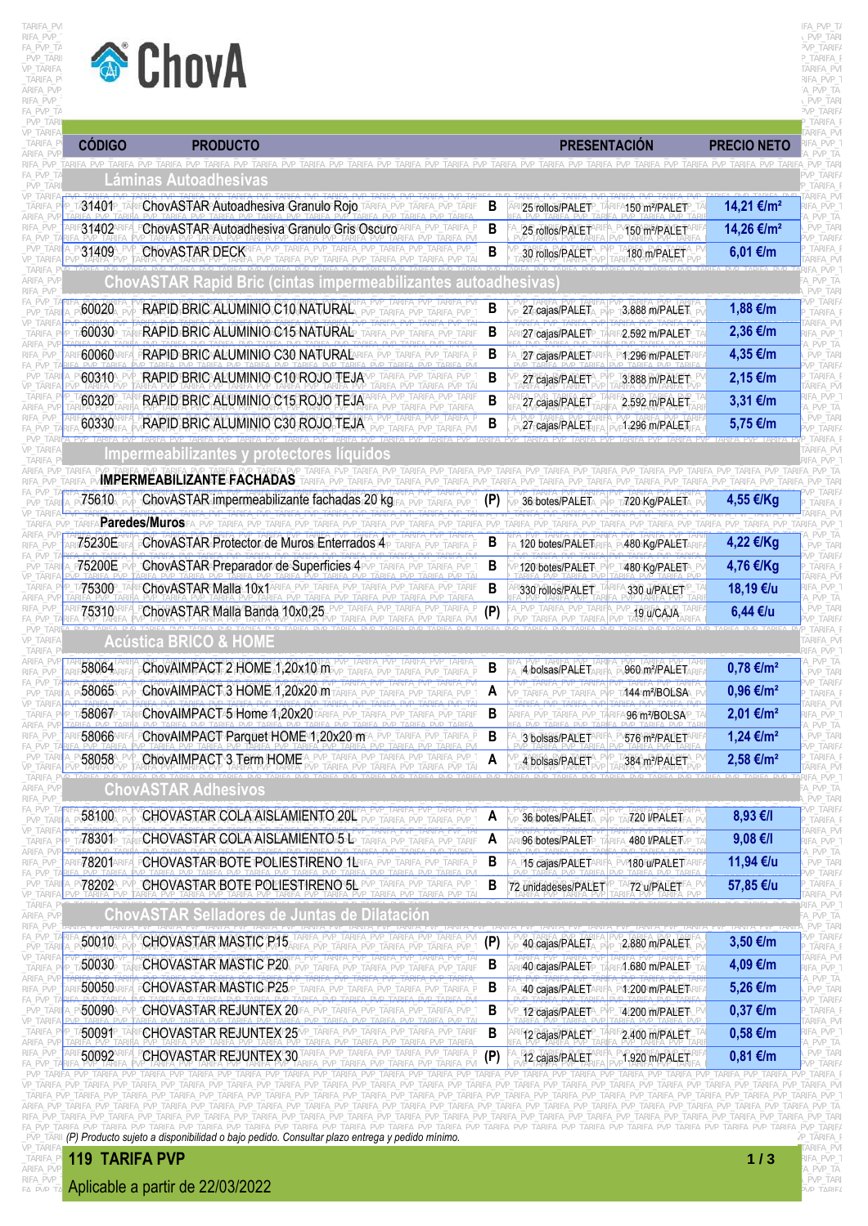

## TARIFA\_PVP\_TARIFA\_PVP\_TARIFA\_PVP\_TARIFA\_PVP\_TARIFA\_PVP\_TARIFA\_PVP\_TARIFA\_PVP\_TARIFA\_PVP\_TARIFA\_PVP\_TARIFA\_PVP\_TARIFA\_PVP\_TARIFA\_PVP\_TARIFA\_PVP\_TARIFA\_PVP\_TARIFA\_PVP\_TARIFA\_PVP\_TARIFA\_PVP\_TA  $\textrm{RIFA\_PVP\_T}$  . The property of the property of the property of the property of the property  $\textrm{PVP\_TARI}$ FALPVP\_TAN<br>PVP\_TARIFA\_PV<br>\_TARIFA\_PV<br>\_TARIFA\_PV ARIFA\_PVP\_TARIFA\_PVP\_TARIFA\_PVP\_TARIFA\_PVP\_TARIFA\_PVP\_TARIFA\_PVP\_TARIFA\_PVP\_TARIFA\_PVP\_TARIFA\_PVP\_TARIFA\_PVP\_TARIFA\_PVP\_TARIFA\_PVP\_TARIFA\_PVP\_TARIFA\_PVP\_TARIFA\_PVP\_TARIFA\_PVP\_TARIFA\_PVP\_TA

| <b>CÓDIGO</b>      | <b>PRODUCTO</b>                                                                                          |              | <b>PRESENTACIÓN</b>                             | <b>PRECIO NETO</b>         |
|--------------------|----------------------------------------------------------------------------------------------------------|--------------|-------------------------------------------------|----------------------------|
| RIEA PVP TARIEA    | Láminas Autoadhesivas                                                                                    |              |                                                 |                            |
| 31401 <sub>P</sub> | ChovASTAR Autoadhesiva Granulo Rojo                                                                      | B            | 25 rollos/PALET<br>150 m <sup>2</sup> /PALET    | 14,21 €/m <sup>2</sup>     |
| 31402              | ChovASTAR Autoadhesiva Granulo Gris Oscuro                                                               | B            | 25 rollos/PALET<br>150 m <sup>2</sup> /PALET    | 14,26 €/m <sup>2</sup>     |
| 31409              | ChovASTAR DECK                                                                                           | $\, {\bf B}$ | 30 rollos/PALET<br>180 m/PALET                  | $6,01 \in$ /m              |
|                    | <b>ChovASTAR Rapid Bric</b>                                                                              |              |                                                 |                            |
| 60020              | RAPID BRIC ALUMINIO C10 NATURAL                                                                          | B            | 3.888 m/PALET<br>27 cajas/PALET                 | 1,88 €/m                   |
| 60030              | RAPID BRIC ALUMINIO C15 NATURAL                                                                          | B            | 27 cajas/PALET<br>2.592 m/PALET                 | 2,36 €/m                   |
| 60060              | RAPID BRIC ALUMINIO C30 NATURAL                                                                          | B            | 27 cajas/PALET <sup>A</sup><br>1.296 m/PALET    | 4,35 €/m                   |
| 60310              | RAPID BRIC ALUMINIO C10 ROJO TEJA                                                                        | В            | 27 cajas/PALET<br>3.888 m/PALET                 | $2,15 \in$ /m              |
| 60320              | RAPID BRIC ALUMINIO C15 ROJO TEJA                                                                        | B            | 27 cajas/PALET<br>2.592 m/PALET                 | 3,31 €/m                   |
| 60330              | RAPID BRIC ALUMINIO C30 ROJO TEJA                                                                        | B            | 27 cajas/PALET<br>1.296 m/PALET                 | 5,75 €/m                   |
|                    | Impermeabilizantes y protectores líquidos                                                                |              |                                                 |                            |
|                    | <b>IMPERMEABILIZANTE FACHADAS</b>                                                                        |              |                                                 | TARIFA_PVP_TARIFA_PVP_TARI |
| 75610              | ChovASTAR impermeabilizante fachadas 20 kg                                                               |              | 720 Kg/PALET<br>36 botes/PALE⊺                  | 4,55 €/Kg                  |
|                    | Paredes/Muros                                                                                            |              |                                                 |                            |
| 75230E             | ChovASTAR Protector de Muros Enterrados 4                                                                | В            | 480 Kg/PALET<br>120 botes/PALET                 | 4,22 €/Kg                  |
| 75200E             | ChovASTAR Preparador de Superficies 4                                                                    | B            | 120 botes/PALET<br>480 Kg/PALET                 | 4,76 €/Kg                  |
| 475300             | ChovASTAR Malla 10x1 ARIFA_PVP_TARIFA_PVP                                                                | B            | 330 rollos/PALET<br>330 u/PALET                 | 18,19 €/u                  |
| 75310              | ChovASTAR Malla Banda 10x0,25                                                                            | (P)          | 19 u/CAJA                                       | 6,44 €/u                   |
|                    | <b>Acústica BRICO &amp; HOME</b>                                                                         |              |                                                 |                            |
| 58064              | ChovAIMPACT 2 HOME 1,20x10 m                                                                             | B            | 960 m <sup>2</sup> /PALET<br>4 bolsas/PALE1     | $0,78 \in$ /m <sup>2</sup> |
| 58065              | ChovAIMPACT 3 HOME 1,20x20 m                                                                             | A            | 444m <sup>2</sup> /BOLSA                        | $0,96 \in /m^2$            |
| 58067              | ChovAIMPACT <sup>5</sup> Home 4,20x20TARIEA                                                              | В            | 96 m <sup>2</sup> /BOLSAF                       | 2,01 €/m <sup>2</sup>      |
| 58066              | ChovAIMPACT Parquet HOME 45,20x20 mA_PVP_TARIFA_PVP_TARIFA_P                                             | В            | 576 m <sup>2</sup> /PALETARI<br>3 bolsas/PALET  | 1,24 €/m <sup>2</sup>      |
| 58058              | PVP TARIFA PVP TARIFA PVF<br>ChovAIMPACT 3 Term HOME<br>  ARIFA_PVP_TARIFA_PVP_TARIFA_PVP_T              | A            | 4 bolsas/PALET<br>384 m <sup>2</sup> /PALET     | 2,58 €/m <sup>2</sup>      |
|                    | ARIFA PVP TARIFA PVP TARIFA PVP TAF<br><b>ChovASTAR Adhesivos</b>                                        |              |                                                 |                            |
| 58100              | CHOVASTAR COLA AISLAMIENTO 20L                                                                           | A            | 36 botes/PALET<br>720 I/PALET                   | 8,93 €/I                   |
| 78301              | CHOVASTAR COLA AISLAMIENTO 5 L                                                                           | A<br>TARIF   | 96 botes/PALET<br>480 VPALETVP                  | $9,08$ €/I                 |
| 78201A             | CHOVASTAR BOTE POLIESTIRENO 1LR<br>PVP TARIFA PVP TARIFA P                                               | B            | <b>P15 cajas/PALETAR</b><br>P180 W/PAMET ARII   | 11,94 €/u                  |
| 78202              | CHOVASTAR BOTE POLIESTIRENO 5L PVP_TARIFA_PVP_TARIFA_PVP_T                                               | B            | 72 unidadeses/PALET<br>72 u/PALET <sup>AP</sup> | 57,85 €/u                  |
|                    | TARIEA PVP TARIEA PVP TAP                                                                                |              |                                                 |                            |
|                    | <b>ChovASTAR Selladores de Juntas de Dilatación</b>                                                      |              |                                                 |                            |
| 50010              | <b>CHOVASTAR MASTIC P15</b><br>PVP TARIFA PVP TARIFA PVP                                                 | (P)          | 2.880 m/PALET<br>40 cajas/PALET                 | 3,50 €/m                   |
| 50030              | <b>CHOVASTAR MASTIC P20</b><br>RIFA PVP TARIFA PVP TARIF                                                 | B            | 40 cajas/PALET<br>41.680 m/PALET                | 4,09 €/m                   |
| 50050              | <b>CHOVASTAR MASTIC P25</b><br>PVP TARIFA PVP TARIFA P                                                   | B            | 40 cajas/PALETA<br><b>\1.200\m/PALET</b> R      | 5,26 €/m                   |
| 50090              | CHOVASTAR REJUNTEX 20<br>PVP TARIFA PVP TARIFA PVP TARIFA PVP                                            | B            | 12 cajas/PALET <sup>A</sup><br>4.200 m/PALET    | $0,37$ €/m                 |
| 50091 <sup>P</sup> | CHOVASTAR REJUNTEXF25VP_TARIFA_PVP_TARIFA_PVP_TARIFA_PVP_TARIF<br>ARIFA PVP TARIFA PVP TARIFA PVP TARIFA | В            | 2.400 m/PALET<br>12 cajas/PALET                 | $0,58 \in$ /m              |
| 50092              | TARIFA_PVP_TARIFA_PVP_TARIFA_PVP_TARIFA_P<br><b>CHOVASTAR REJUNTEX 30</b>                                | (P)          | 12 cajas/PALET<br>1.920 m/PALET                 | $0,81 \in$ /m              |

FA\_PVP\_TA<mark>RIFA\_PVP\_TARIFA\_IPVP\_TARIFA\_PVP\_TARIFA\_PVP\_T</mark>ARIFA\_PVP\_TARIFA\_PVP\_TARIFA\_PVP\_TARIFA\_PVP\_TARIPA\_PVP\_TARIFA\_PVP\_TARIFA\_PVP\_TARIFA\_PVP\_TARIFA\_PVP\_TARIFA\_PVP\_TARIFA\_PVP\_TARIFA\_PVP\_TARIFA\_PVP\_TARIFA\_PVP\_TARIFA\_PVP\_TAR ARIFA\_PVP\_TARIFA\_PVP\_TARIFA\_PVP\_TARIFA\_PVP\_TARIFA\_PVP\_TARIFA\_PVP\_TARIFA\_PVP\_TARIFA\_PVP\_TARIFA\_PVP\_TARIFA\_PVP\_TARIFA\_PVP\_TARIFA\_PVP\_TARIFA\_PVP\_TARIFA\_PVP\_TARIFA\_PVP\_TARIFA\_PVP\_TARIFA\_PVP\_TARIFA\_PVP\_TARIFA\_PVP\_TARIFA\_PVP\_TAR

VP\_TARIFA\_PVP\_TARIFA\_PVP\_TARIFA\_PVP\_TARIFA\_PVP\_TARIFA\_PVP\_TARIFA\_PVP\_TARIFA\_PVP\_TARIFA\_PVP\_TARIFA\_PVP\_TARIFA\_PVP\_TARIFA\_PVP\_TARIFA\_PVP\_TARIFA\_PVP\_TARIFA\_PVP\_TARIFA\_PVP\_TARIFA\_PVP\_TARIFA\_PVP \_TARIFA\_PVP\_TARIFA\_PVP\_TARIFA\_PVP\_TARIFA\_PVP\_TARIFA\_PVP\_TARIFA\_PVP\_TARIFA\_PVP\_TARIFA\_PVP\_TARIFA\_PVP\_TARIFA\_PVP\_TARIFA\_PVP\_TARIFA\_PVP\_TARIFA\_PVP\_TARIFA\_PVP\_TARIFA\_PVP\_TARIFA\_PVP\_TARIFA\_PVP\_T **119 TARIFA PVP 1 / 3**

RIFA\_PVP\_<mark>Aplicable a partir de 22/03/2022</mark> and the contract of the contract of the contract of the contract of the contract of the contract of the contract of the contract of the contract of the contract of the contract o



ARIFA\_PVP<mark>\_</mark>TARIFA\_PVP\_TARIFA\_PVP\_TARIFA\_PVP\_TARIFA\_PVP\_TARIFA\_PVP\_TARIFA\_PVP\_TARIFA\_PVP\_TARIFA\_PVP\_TARIFA\_PVP\_TARiFA\_PVP\_TA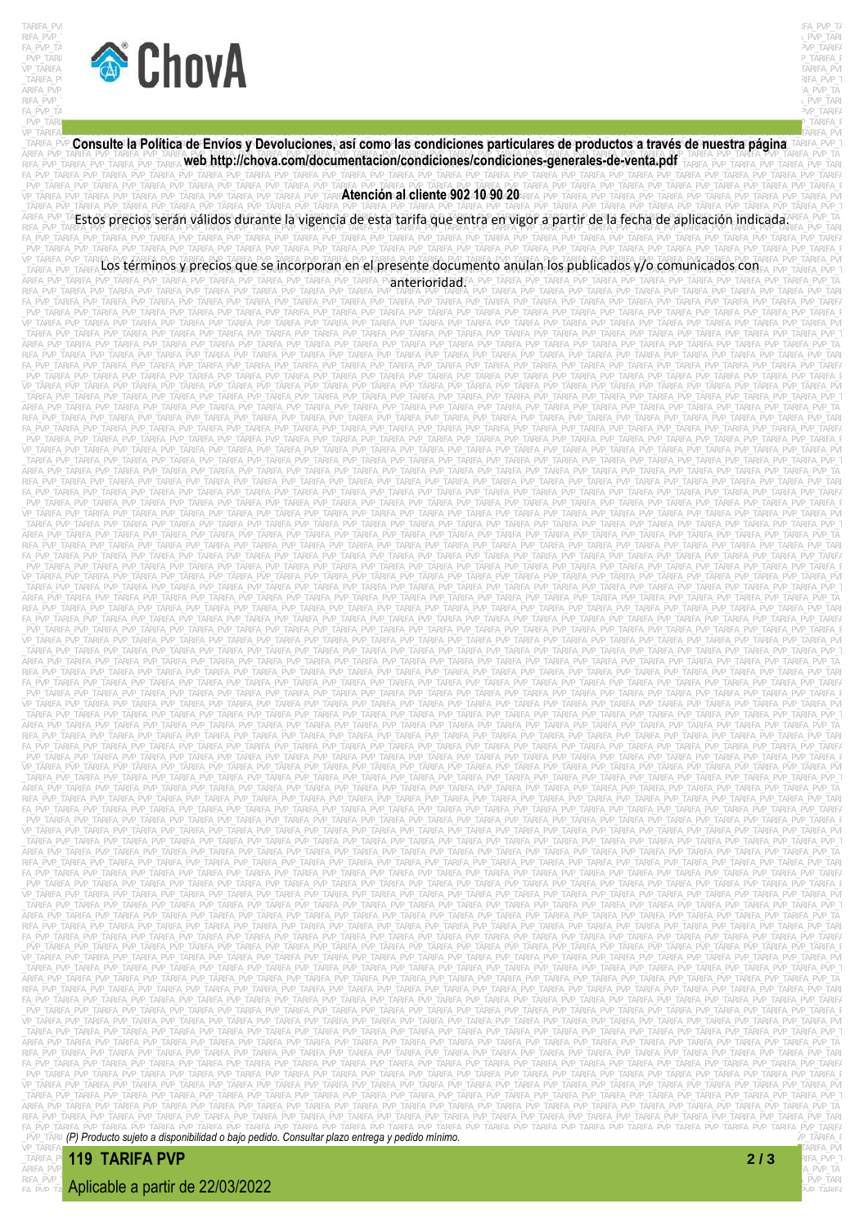



 $\textrm{RIFA\_PVP\_T}$  . PVP\_TARIFA\_PVP\_TARIFA\_PVP\_TARIFA\_PVP\_TARIFA\_PVP\_TARIFA\_PVP\_TARIFA\_PVP\_TARIFA\_PVP\_TARIFA\_PVP\_TARIFA\_PVP\_TARIFA\_PVP\_TARIFA\_PVP\_TARIFA\_PVP\_TARIFA\_PVP\_TARIFA\_PVP\_TARIFA\_PVP\_TARIFA\_PVP\_TARIFA\_PVP\_TARIFA\_PVP\_TAR  $F_A\_PVP\_T$ a $p_A=PQ_P=PQ_P$ \_PVP\_TARIF $p$ vertarifatarifatarifatarifatarifatarifatarifatarifatarifatarifatarifatarifatarifatarifatarifatarifatarifatarifatarifatarifatarifatarifatarifatarifatarifatarifatarifatarifatarifatarifatarifatarifatarifatarifat

VP TARIFA<br>ITARIFA PVP Consulte la Política de Envíos y Devoluciones, así como las condiciones particulares de productos a través de nuestra página TARIFA PVP 1 ARIFA\_PVP\_TARIFA\_PVP\_TARIFA\_PVP\_TARIFA\_PVP\_TARIFA\_PVP\_TARIFA\_PVP\_TARIFA\_PVP\_TARIFA\_PVP\_TARIFA\_PVP\_TARIFA\_PVP\_TARIFA\_PVP\_TARIFA\_PVP\_TARIFA\_PVP\_TARIFA\_PVP\_TARIFA\_PVP\_TARIFA\_PVP\_TARIFA\_PVP\_TARIFA\_PVP\_TARIFA\_PVP\_TARIFA\_PVP\_TAR FA\_PVP\_TARIFA\_PVP\_TARIFA\_PVP\_TARIFA\_PVP\_TARIFA\_PVP\_TARIFA\_PVP\_TARIFA\_PVP\_TARIFA\_PVP\_TARIFA\_PVP\_TARIFA\_PVP\_TARIFA\_PVP\_TARIFA\_PVP\_TARIFA\_PVP\_TARIFA\_PVP\_TARIFA\_PVP\_TARIFA\_PVP\_TARIFA\_PVP\_TARIFA \_PVP\_TARIFA\_PVP\_TARIFA\_PVP\_TARIFA\_PVP\_TARIFA\_PVP\_TARIFA\_PVP\_TARIFA\_PVP\_TARIFA\_PVP\_TARIFA\_PVP\_TARIFA\_PVP\_TARIFA\_PVP\_TARIFA\_PVP\_TARIFA\_PVP\_TARIFA\_PVP\_TARIFA\_PVP\_TARIFA\_PVP\_TARIFA\_PVP\_TARIFA\_PVP\_TARIFA\_PVP\_TARIFA\_PVP\_TARIFA\_P \_TARIFA\_PVP\_TARIFA\_PVP\_TARIFA\_PVP\_TARIFA\_PVP\_TARIFA\_PVP\_TARIFA\_PVP\_TARIFA\_PVP\_TARIFA\_PVP\_TARIFA\_PVP\_TARIFA\_PVP\_TARIFA\_PVP\_TARIFA\_PVP\_TARIFA\_PVP\_TARIFA\_PVP\_TARIFA\_PVP\_TARIFA\_PVP\_TARIFA\_PVP\_TARIFA\_PVP\_TARIFA\_PVP\_TARIFA\_PVP\_T FA\_PVP\_TARIFA\_PVP\_TARIFA\_PVP\_TARIFA\_PVP\_TARIFA\_PVP\_TARIFA\_PVP\_TARIFA\_PVP\_TARIFA\_PVP\_TARIFA\_PVP\_TARIFA\_PVP\_TARIFA\_PVP\_TARIFA\_PVP\_TARIFA\_PVP\_TARIFA\_PVP\_TARIFA\_PVP\_TARIFA\_PVP\_TARIFA\_PVP\_TARIFA \_PVP\_TARIFA\_PVP\_TARIFA\_PVP\_TARIFA\_PVP\_TARIFA\_PVP\_TARIFA\_PVP\_TARIFA\_PVP\_TARIFA\_PVP\_TARIFA\_PVP\_TARIFA\_PVP\_TARIFA\_PVP\_TARIFA\_PVP\_TARIFA\_PVP\_TARIFA\_PVP\_TARIFA\_PVP\_TARIFA\_PVP\_TARIFA\_PVP\_TARIFA\_P VP TARIFA PVP TARIFA **LOS términos y precios que se incorporan en el presente documento anulan los publicados y/o comunicados compre pvP TARIFA PVP TARIFA PVP TARIFA PVP TARIFA PVP TARIFA PVP TARIFA PVP TARIFA PVP TARIFA P** ARIFA\_PVP\_TARIFA\_PVP\_TARIFA\_PVP\_TARIFA\_PVP\_TARIFA\_PVP\_TARIFA\_PVP\_TARIFA\_PV**AT†PF10M1ARI**FA\_PVP\_TARIFA\_PVP\_TARIFA\_PVP\_TARIFA\_PVP\_TARIFA\_PVP\_TARIFA\_PVP\_TARIFA\_PVP\_TARIFA\_PVP\_TARIFA\_PVP\_TARIFA\_PVP\_TARIFA\_PVP\_TARIFA\_PVP\_TARIFA RIFA\_PVP\_TARIFA\_PVP\_TARIFA\_PVP\_TARIFA\_PVP\_TARIFA\_PVP\_TARIFA\_PVP\_TARIFA\_PVP\_TARIFA\_PVP\_TARIFA\_PVP\_TARIFA\_PVP\_TARIFA\_PVP\_TARIFA\_PVP\_TARIFA\_PVP\_TARIFA\_PVP\_TARIFA\_PVP\_TARIFA\_PVP\_TARIFA\_PVP\_TARI FA\_PVP\_TARIFA\_PVP\_TARIFA\_PVP\_TARIFA\_PVP\_TARIFA\_PVP\_TARIFA\_PVP\_TARIFA\_PVP\_TARIFA\_PVP\_TARIFA\_PVP\_TARIFA\_PVP\_TARIFA\_PVP\_TARIFA\_PVP\_TARIFA\_PVP\_TARIFA\_PVP\_TARIFA\_PVP\_TARIFA\_PVP\_TARIFA\_PVP\_TARIFA \_PVP\_TARIFA\_PVP\_TARIFA\_PVP\_TARIFA\_PVP\_TARIFA\_PVP\_TARIFA\_PVP\_TARIFA\_PVP\_TARIFA\_PVP\_TARIFA\_PVP\_TARIFA\_PVP\_TARIFA\_PVP\_TARIFA\_PVP\_TARIFA\_PVP\_TARIFA\_PVP\_TARIFA\_PVP\_TARIFA\_PVP\_TARIFA\_PVP\_TARIFA\_P VP\_TARIFA\_PVP\_TARIFA\_PVP\_TARIFA\_PVP\_TARIFA\_PVP\_TARIFA\_PVP\_TARIFA\_PVP\_TARIFA\_PVP\_TARIFA\_PVP\_TARIFA\_PVP\_TARIFA\_PVP\_TARIFA\_PVP\_TARIFA\_PVP\_TARIFA\_PVP\_TARIFA\_PVP\_TARIFA\_PVP\_TARIFA\_PVP\_TARIFA\_PVP \_TARIFA\_PVP\_TARIFA\_PVP\_TARIFA\_PVP\_TARIFA\_PVP\_TARIFA\_PVP\_TARIFA\_PVP\_TARIFA\_PVP\_TARIFA\_PVP\_TARIFA\_PVP\_TARIFA\_PVP\_TARIFA\_PVP\_TARIFA\_PVP\_TARIFA\_PVP\_TARIFA\_PVP\_TARIFA\_PVP\_TARIFA\_PVP\_TARIFA\_PVP\_T ARIFA\_PVP\_TARIFA\_PVP\_TARIFA\_PVP\_TARIFA\_PVP\_TARIFA\_PVP\_TARIFA\_PVP\_TARIFA\_PVP\_TARIFA\_PVP\_TARIFA\_PVP\_TARIFA\_PVP\_TARIFA\_PVP\_TARIFA\_PVP\_TARIFA\_PVP\_TARIFA\_PVP\_TARIFA\_PVP\_TARIFA\_PVP\_TARIFA\_PVP\_TA RIFA\_PVP\_TARIFA\_PVP\_TARIFA\_PVP\_TARIFA\_PVP\_TARIFA\_PVP\_TARIFA\_PVP\_TARIFA\_PVP\_TARIFA\_PVP\_TARIFA\_PVP\_TARIFA\_PVP\_TARIFA\_PVP\_TARIFA\_PVP\_TARIFA\_PVP\_TARIFA\_PVP\_TARIFA\_PVP\_TARIFA\_PVP\_TARIFA\_PVP\_TARI FA\_PVP\_TARIFA\_PVP\_TARIFA\_PVP\_TARIFA\_PVP\_TARIFA\_PVP\_TARIFA\_PVP\_TARIFA\_PVP\_TARIFA\_PVP\_TARIFA\_PVP\_TARIFA\_PVP\_TARIFA\_PVP\_TARIFA\_PVP\_TARIFA\_PVP\_TARIFA\_PVP\_TARIFA\_PVP\_TARIFA\_PVP\_TARIFA\_PVP\_TARIFA \_PVP\_TARIFA\_PVP\_TARIFA\_PVP\_TARIFA\_PVP\_TARIFA\_PVP\_TARIFA\_PVP\_TARIFA\_PVP\_TARIFA\_PVP\_TARIFA\_PVP\_TARIFA\_PVP\_TARIFA\_PVP\_TARIFA\_PVP\_TARIFA\_PVP\_TARIFA\_PVP\_TARIFA\_PVP\_TARIFA\_PVP\_TARIFA\_PVP\_TARIFA\_P VP\_TARIFA\_PVP\_TARIFA\_PVP\_TARIFA\_PVP\_TARIFA\_PVP\_TARIFA\_PVP\_TARIFA\_PVP\_TARIFA\_PVP\_TARIFA\_PVP\_TARIFA\_PVP\_TARIFA\_PVP\_TARIFA\_PVP\_TARIFA\_PVP\_TARIFA\_PVP\_TARIFA\_PVP\_TARIFA\_PVP\_TARIFA\_PVP\_TARIFA\_PVP \_TARIFA\_PVP\_TARIFA\_PVP\_TARIFA\_PVP\_TARIFA\_PVP\_TARIFA\_PVP\_TARIFA\_PVP\_TARIFA\_PVP\_TARIFA\_PVP\_TARIFA\_PVP\_TARIFA\_PVP\_TARIFA\_PVP\_TARIFA\_PVP\_TARIFA\_PVP\_TARIFA\_PVP\_TARIFA\_PVP\_TARIFA\_PVP\_TARIFA\_PVP\_T ARIFA\_PVP\_TARIFA\_PVP\_TARIFA\_PVP\_TARIFA\_PVP\_TARIFA\_PVP\_TARIFA\_PVP\_TARIFA\_PVP\_TARIFA\_PVP\_TARIFA\_PVP\_TARIFA\_PVP\_TARIFA\_PVP\_TARIFA\_PVP\_TARIFA\_PVP\_TARIFA\_PVP\_TARIFA\_PVP\_TARIFA\_PVP\_TARIFA\_PVP\_TA RIFA\_PVP\_TARIFA\_PVP\_TARIFA\_PVP\_TARIFA\_PVP\_TARIFA\_PVP\_TARIFA\_PVP\_TARIFA\_PVP\_TARIFA\_PVP\_TARIFA\_PVP\_TARIFA\_PVP\_TARIFA\_PVP\_TARIFA\_PVP\_TARIFA\_PVP\_TARIFA\_PVP\_TARIFA\_PVP\_TARIFA\_PVP\_TARIFA\_PVP\_TARI FA\_PVP\_TARIFA\_PVP\_TARIFA\_PVP\_TARIFA\_PVP\_TARIFA\_PVP\_TARIFA\_PVP\_TARIFA\_PVP\_TARIFA\_PVP\_TARIFA\_PVP\_TARIFA\_PVP\_TARIFA\_PVP\_TARIFA\_PVP\_TARIFA\_PVP\_TARIFA\_PVP\_TARIFA\_PVP\_TARIFA\_PVP\_TARIFA\_PVP\_TARIFA \_PVP\_TARIFA\_PVP\_TARIFA\_PVP\_TARIFA\_PVP\_TARIFA\_PVP\_TARIFA\_PVP\_TARIFA\_PVP\_TARIFA\_PVP\_TARIFA\_PVP\_TARIFA\_PVP\_TARIFA\_PVP\_TARIFA\_PVP\_TARIFA\_PVP\_TARIFA\_PVP\_TARIFA\_PVP\_TARIFA\_PVP\_TARIFA\_PVP\_TARIFA\_P VP\_TARIFA\_PVP\_TARIFA\_PVP\_TARIFA\_PVP\_TARIFA\_PVP\_TARIFA\_PVP\_TARIFA\_PVP\_TARIFA\_PVP\_TARIFA\_PVP\_TARIFA\_PVP\_TARIFA\_PVP\_TARIFA\_PVP\_TARIFA\_PVP\_TARIFA\_PVP\_TARIFA\_PVP\_TARIFA\_PVP\_TARIFA\_PVP\_TARIFA\_PVP \_TARIFA\_PVP\_TARIFA\_PVP\_TARIFA\_PVP\_TARIFA\_PVP\_TARIFA\_PVP\_TARIFA\_PVP\_TARIFA\_PVP\_TARIFA\_PVP\_TARIFA\_PVP\_TARIFA\_PVP\_TARIFA\_PVP\_TARIFA\_PVP\_TARIFA\_PVP\_TARIFA\_PVP\_TARIFA\_PVP\_TARIFA\_PVP\_TARIFA\_PVP\_T ARIFA\_PVP\_TARIFA\_PVP\_TARIFA\_PVP\_TARIFA\_PVP\_TARIFA\_PVP\_TARIFA\_PVP\_TARIFA\_PVP\_TARIFA\_PVP\_TARIFA\_PVP\_TARIFA\_PVP\_TARIFA\_PVP\_TARIFA\_PVP\_TARIFA\_PVP\_TARIFA\_PVP\_TARIFA\_PVP\_TARIFA\_PVP\_TARIFA\_PVP\_TA RIFA\_PVP\_TARIFA\_PVP\_TARIFA\_PVP\_TARIFA\_PVP\_TARIFA\_PVP\_TARIFA\_PVP\_TARIFA\_PVP\_TARIFA\_PVP\_TARIFA\_PVP\_TARIFA\_PVP\_TARIFA\_PVP\_TARIFA\_PVP\_TARIFA\_PVP\_TARIFA\_PVP\_TARIFA\_PVP\_TARIFA\_PVP\_TARIFA\_PVP\_TARI FA\_PVP\_TARIFA\_PVP\_TARIFA\_PVP\_TARIFA\_PVP\_TARIFA\_PVP\_TARIFA\_PVP\_TARIFA\_PVP\_TARIFA\_PVP\_TARIFA\_PVP\_TARIFA\_PVP\_TARIFA\_PVP\_TARIFA\_PVP\_TARIFA\_PVP\_TARIFA\_PVP\_TARIFA\_PVP\_TARIFA\_PVP\_TARIFA\_PVP\_TARIFA \_PVP\_TARIFA\_PVP\_TARIFA\_PVP\_TARIFA\_PVP\_TARIFA\_PVP\_TARIFA\_PVP\_TARIFA\_PVP\_TARIFA\_PVP\_TARIFA\_PVP\_TARIFA\_PVP\_TARIFA\_PVP\_TARIFA\_PVP\_TARIFA\_PVP\_TARIFA\_PVP\_TARIFA\_PVP\_TARIFA\_PVP\_TARIFA\_PVP\_TARIFA\_P VP\_TARIFA\_PVP\_TARIFA\_PVP\_TARIFA\_PVP\_TARIFA\_PVP\_TARIFA\_PVP\_TARIFA\_PVP\_TARIFA\_PVP\_TARIFA\_PVP\_TARIFA\_PVP\_TARIFA\_PVP\_TARIFA\_PVP\_TARIFA\_PVP\_TARIFA\_PVP\_TARIFA\_PVP\_TARIFA\_PVP\_TARIFA\_PVP\_TARIFA\_PVP \_TARIFA\_PVP\_TARIFA\_PVP\_TARIFA\_PVP\_TARIFA\_PVP\_TARIFA\_PVP\_TARIFA\_PVP\_TARIFA\_PVP\_TARIFA\_PVP\_TARIFA\_PVP\_TARIFA\_PVP\_TARIFA\_PVP\_TARIFA\_PVP\_TARIFA\_PVP\_TARIFA\_PVP\_TARIFA\_PVP\_TARIFA\_PVP\_TARIFA\_PVP\_T ARIFA\_PVP\_TARIFA\_PVP\_TARIFA\_PVP\_TARIFA\_PVP\_TARIFA\_PVP\_TARIFA\_PVP\_TARIFA\_PVP\_TARIFA\_PVP\_TARIFA\_PVP\_TARIFA\_PVP\_TARIFA\_PVP\_TARIFA\_PVP\_TARIFA\_PVP\_TARIFA\_PVP\_TARIFA\_PVP\_TARIFA\_PVP\_TARIFA\_PVP\_TA RIFA\_PVP\_TARIFA\_PVP\_TARIFA\_PVP\_TARIFA\_PVP\_TARIFA\_PVP\_TARIFA\_PVP\_TARIFA\_PVP\_TARIFA\_PVP\_TARIFA\_PVP\_TARIFA\_PVP\_TARIFA\_PVP\_TARIFA\_PVP\_TARIFA\_PVP\_TARIFA\_PVP\_TARIFA\_PVP\_TARIFA\_PVP\_TARIFA\_PVP\_TARI FA\_PVP\_TARIFA\_PVP\_TARIFA\_PVP\_TARIFA\_PVP\_TARIFA\_PVP\_TARIFA\_PVP\_TARIFA\_PVP\_TARIFA\_PVP\_TARIFA\_PVP\_TARIFA\_PVP\_TARIFA\_PVP\_TARIFA\_PVP\_TARIFA\_PVP\_TARIFA\_PVP\_TARIFA\_PVP\_TARIFA\_PVP\_TARIFA\_PVP\_TARIFA \_PVP\_TARIFA\_PVP\_TARIFA\_PVP\_TARIFA\_PVP\_TARIFA\_PVP\_TARIFA\_PVP\_TARIFA\_PVP\_TARIFA\_PVP\_TARIFA\_PVP\_TARIFA\_PVP\_TARIFA\_PVP\_TARIFA\_PVP\_TARIFA\_PVP\_TARIFA\_PVP\_TARIFA\_PVP\_TARIFA\_PVP\_TARIFA\_PVP\_TARIFA\_P VP\_TARIFA\_PVP\_TARIFA\_PVP\_TARIFA\_PVP\_TARIFA\_PVP\_TARIFA\_PVP\_TARIFA\_PVP\_TARIFA\_PVP\_TARIFA\_PVP\_TARIFA\_PVP\_TARIFA\_PVP\_TARIFA\_PVP\_TARIFA\_PVP\_TARIFA\_PVP\_TARIFA\_PVP\_TARIFA\_PVP\_TARIFA\_PVP\_TARIFA\_PVP \_TARIFA\_PVP\_TARIFA\_PVP\_TARIFA\_PVP\_TARIFA\_PVP\_TARIFA\_PVP\_TARIFA\_PVP\_TARIFA\_PVP\_TARIFA\_PVP\_TARIFA\_PVP\_TARIFA\_PVP\_TARIFA\_PVP\_TARIFA\_PVP\_TARIFA\_PVP\_TARIFA\_PVP\_TARIFA\_PVP\_TARIFA\_PVP\_TARIFA\_PVP\_T ARIFA\_PVP\_TARIFA\_PVP\_TARIFA\_PVP\_TARIFA\_PVP\_TARIFA\_PVP\_TARIFA\_PVP\_TARIFA\_PVP\_TARIFA\_PVP\_TARIFA\_PVP\_TARIFA\_PVP\_TARIFA\_PVP\_TARIFA\_PVP\_TARIFA\_PVP\_TARIFA\_PVP\_TARIFA\_PVP\_TARIFA\_PVP\_TARIFA\_PVP\_TA RIFA\_PVP\_TARIFA\_PVP\_TARIFA\_PVP\_TARIFA\_PVP\_TARIFA\_PVP\_TARIFA\_PVP\_TARIFA\_PVP\_TARIFA\_PVP\_TARIFA\_PVP\_TARIFA\_PVP\_TARIFA\_PVP\_TARIFA\_PVP\_TARIFA\_PVP\_TARIFA\_PVP\_TARIFA\_PVP\_TARIFA\_PVP\_TARIFA\_PVP\_TARI FA\_PVP\_TARIFA\_PVP\_TARIFA\_PVP\_TARIFA\_PVP\_TARIFA\_PVP\_TARIFA\_PVP\_TARIFA\_PVP\_TARIFA\_PVP\_TARIFA\_PVP\_TARIFA\_PVP\_TARIFA\_PVP\_TARIFA\_PVP\_TARIFA\_PVP\_TARIFA\_PVP\_TARIFA\_PVP\_TARIFA\_PVP\_TARIFA\_PVP\_TARIFA \_PVP\_TARIFA\_PVP\_TARIFA\_PVP\_TARIFA\_PVP\_TARIFA\_PVP\_TARIFA\_PVP\_TARIFA\_PVP\_TARIFA\_PVP\_TARIFA\_PVP\_TARIFA\_PVP\_TARIFA\_PVP\_TARIFA\_PVP\_TARIFA\_PVP\_TARIFA\_PVP\_TARIFA\_PVP\_TARIFA\_PVP\_TARIFA\_PVP\_TARIFA\_P VP\_TARIFA\_PVP\_TARIFA\_PVP\_TARIFA\_PVP\_TARIFA\_PVP\_TARIFA\_PVP\_TARIFA\_PVP\_TARIFA\_PVP\_TARIFA\_PVP\_TARIFA\_PVP\_TARIFA\_PVP\_TARIFA\_PVP\_TARIFA\_PVP\_TARIFA\_PVP\_TARIFA\_PVP\_TARIFA\_PVP\_TARIFA\_PVP\_TARIFA\_PVP \_TARIFA\_PVP\_TARIFA\_PVP\_TARIFA\_PVP\_TARIFA\_PVP\_TARIFA\_PVP\_TARIFA\_PVP\_TARIFA\_PVP\_TARIFA\_PVP\_TARIFA\_PVP\_TARIFA\_PVP\_TARIFA\_PVP\_TARIFA\_PVP\_TARIFA\_PVP\_TARIFA\_PVP\_TARIFA\_PVP\_TARIFA\_PVP\_TARIFA\_PVP\_T ARIFA\_PVP\_TARIFA\_PVP\_TARIFA\_PVP\_TARIFA\_PVP\_TARIFA\_PVP\_TARIFA\_PVP\_TARIFA\_PVP\_TARIFA\_PVP\_TARIFA\_PVP\_TARIFA\_PVP\_TARIFA\_PVP\_TARIFA\_PVP\_TARIFA\_PVP\_TARIFA\_PVP\_TARIFA\_PVP\_TARIFA\_PVP\_TARIFA\_PVP\_TA RIFA\_PVP\_TARIFA\_PVP\_TARIFA\_PVP\_TARIFA\_PVP\_TARIFA\_PVP\_TARIFA\_PVP\_TARIFA\_PVP\_TARIFA\_PVP\_TARIFA\_PVP\_TARIFA\_PVP\_TARIFA\_PVP\_TARIFA\_PVP\_TARIFA\_PVP\_TARIFA\_PVP\_TARIFA\_PVP\_TARIFA\_PVP\_TARIFA\_PVP\_TARI FA\_PVP\_TARIFA\_PVP\_TARIFA\_PVP\_TARIFA\_PVP\_TARIFA\_PVP\_TARIFA\_PVP\_TARIFA\_PVP\_TARIFA\_PVP\_TARIFA\_PVP\_TARIFA\_PVP\_TARIFA\_PVP\_TARIFA\_PVP\_TARIFA\_PVP\_TARIFA\_PVP\_TARIFA\_PVP\_TARIFA\_PVP\_TARIFA\_PVP\_TARIFA \_PVP\_TARIFA\_PVP\_TARIFA\_PVP\_TARIFA\_PVP\_TARIFA\_PVP\_TARIFA\_PVP\_TARIFA\_PVP\_TARIFA\_PVP\_TARIFA\_PVP\_TARIFA\_PVP\_TARIFA\_PVP\_TARIFA\_PVP\_TARIFA\_PVP\_TARIFA\_PVP\_TARIFA\_PVP\_TARIFA\_PVP\_TARIFA\_PVP\_TARIFA\_P VP\_TARIFA\_PVP\_TARIFA\_PVP\_TARIFA\_PVP\_TARIFA\_PVP\_TARIFA\_PVP\_TARIFA\_PVP\_TARIFA\_PVP\_TARIFA\_PVP\_TARIFA\_PVP\_TARIFA\_PVP\_TARIFA\_PVP\_TARIFA\_PVP\_TARIFA\_PVP\_TARIFA\_PVP\_TARIFA\_PVP\_TARIFA\_PVP\_TARIFA\_PVP \_TARIFA\_PVP\_TARIFA\_PVP\_TARIFA\_PVP\_TARIFA\_PVP\_TARIFA\_PVP\_TARIFA\_PVP\_TARIFA\_PVP\_TARIFA\_PVP\_TARIFA\_PVP\_TARIFA\_PVP\_TARIFA\_PVP\_TARIFA\_PVP\_TARIFA\_PVP\_TARIFA\_PVP\_TARIFA\_PVP\_TARIFA\_PVP\_TARIFA\_PVP\_T ARIFA\_PVP\_TARIFA\_PVP\_TARIFA\_PVP\_TARIFA\_PVP\_TARIFA\_PVP\_TARIFA\_PVP\_TARIFA\_PVP\_TARIFA\_PVP\_TARIFA\_PVP\_TARIFA\_PVP\_TARIFA\_PVP\_TARIFA\_PVP\_TARIFA\_PVP\_TARIFA\_PVP\_TARIFA\_PVP\_TARIFA\_PVP\_TARIFA\_PVP\_TA RIFA\_PVP\_TARIFA\_PVP\_TARIFA\_PVP\_TARIFA\_PVP\_TARIFA\_PVP\_TARIFA\_PVP\_TARIFA\_PVP\_TARIFA\_PVP\_TARIFA\_PVP\_TARIFA\_PVP\_TARIFA\_PVP\_TARIFA\_PVP\_TARIFA\_PVP\_TARIFA\_PVP\_TARIFA\_PVP\_TARIFA\_PVP\_TARIFA\_PVP\_TARI FA\_PVP\_TARIFA\_PVP\_TARIFA\_PVP\_TARIFA\_PVP\_TARIFA\_PVP\_TARIFA\_PVP\_TARIFA\_PVP\_TARIFA\_PVP\_TARIFA\_PVP\_TARIFA\_PVP\_TARIFA\_PVP\_TARIFA\_PVP\_TARIFA\_PVP\_TARIFA\_PVP\_TARIFA\_PVP\_TARIFA\_PVP\_TARIFA\_PVP\_TARIFA \_PVP\_TARIFA\_PVP\_TARIFA\_PVP\_TARIFA\_PVP\_TARIFA\_PVP\_TARIFA\_PVP\_TARIFA\_PVP\_TARIFA\_PVP\_TARIFA\_PVP\_TARIFA\_PVP\_TARIFA\_PVP\_TARIFA\_PVP\_TARIFA\_PVP\_TARIFA\_PVP\_TARIFA\_PVP\_TARIFA\_PVP\_TARIFA\_PVP\_TARIFA\_P VP\_TARIFA\_PVP\_TARIFA\_PVP\_TARIFA\_PVP\_TARIFA\_PVP\_TARIFA\_PVP\_TARIFA\_PVP\_TARIFA\_PVP\_TARIFA\_PVP\_TARIFA\_PVP\_TARIFA\_PVP\_TARIFA\_PVP\_TARIFA\_PVP\_TARIFA\_PVP\_TARIFA\_PVP\_TARIFA\_PVP\_TARIFA\_PVP\_TARIFA\_PVP \_TARIFA\_PVP\_TARIFA\_PVP\_TARIFA\_PVP\_TARIFA\_PVP\_TARIFA\_PVP\_TARIFA\_PVP\_TARIFA\_PVP\_TARIFA\_PVP\_TARIFA\_PVP\_TARIFA\_PVP\_TARIFA\_PVP\_TARIFA\_PVP\_TARIFA\_PVP\_TARIFA\_PVP\_TARIFA\_PVP\_TARIFA\_PVP\_TARIFA\_PVP\_T ARIFA\_PVP\_TARIFA\_PVP\_TARIFA\_PVP\_TARIFA\_PVP\_TARIFA\_PVP\_TARIFA\_PVP\_TARIFA\_PVP\_TARIFA\_PVP\_TARIFA\_PVP\_TARIFA\_PVP\_TARIFA\_PVP\_TARIFA\_PVP\_TARIFA\_PVP\_TARIFA\_PVP\_TARIFA\_PVP\_TARIFA\_PVP\_TARIFA\_PVP\_TA RIFA\_PVP\_TARIFA\_PVP\_TARIFA\_PVP\_TARIFA\_PVP\_TARIFA\_PVP\_TARIFA\_PVP\_TARIFA\_PVP\_TARIFA\_PVP\_TARIFA\_PVP\_TARIFA\_PVP\_TARIFA\_PVP\_TARIFA\_PVP\_TARIFA\_PVP\_TARIFA\_PVP\_TARIFA\_PVP\_TARIFA\_PVP\_TARIFA\_PVP\_TARI FA\_PVP\_TARIFA\_PVP\_TARIFA\_PVP\_TARIFA\_PVP\_TARIFA\_PVP\_TARIFA\_PVP\_TARIFA\_PVP\_TARIFA\_PVP\_TARIFA\_PVP\_TARIFA\_PVP\_TARIFA\_PVP\_TARIFA\_PVP\_TARIFA\_PVP\_TARIFA\_PVP\_TARIFA\_PVP\_TARIFA\_PVP\_TARIFA\_PVP\_TARIFA \_PVP\_TARIFA\_PVP\_TARIFA\_PVP\_TARIFA\_PVP\_TARIFA\_PVP\_TARIFA\_PVP\_TARIFA\_PVP\_TARIFA\_PVP\_TARIFA\_PVP\_TARIFA\_PVP\_TARIFA\_PVP\_TARIFA\_PVP\_TARIFA\_PVP\_TARIFA\_PVP\_TARIFA\_PVP\_TARIFA\_PVP\_TARIFA\_PVP\_TARIFA\_P VP\_TARIFA\_PVP\_TARIFA\_PVP\_TARIFA\_PVP\_TARIFA\_PVP\_TARIFA\_PVP\_TARIFA\_PVP\_TARIFA\_PVP\_TARIFA\_PVP\_TARIFA\_PVP\_TARIFA\_PVP\_TARIFA\_PVP\_TARIFA\_PVP\_TARIFA\_PVP\_TARIFA\_PVP\_TARIFA\_PVP\_TARIFA\_PVP\_TARIFA\_PVP \_TARIFA\_PVP\_TARIFA\_PVP\_TARIFA\_PVP\_TARIFA\_PVP\_TARIFA\_PVP\_TARIFA\_PVP\_TARIFA\_PVP\_TARIFA\_PVP\_TARIFA\_PVP\_TARIFA\_PVP\_TARIFA\_PVP\_TARIFA\_PVP\_TARIFA\_PVP\_TARIFA\_PVP\_TARIFA\_PVP\_TARIFA\_PVP\_TARIFA\_PVP\_T ARIFA\_PVP\_TARIFA\_PVP\_TARIFA\_PVP\_TARIFA\_PVP\_TARIFA\_PVP\_TARIFA\_PVP\_TARIFA\_PVP\_TARIFA\_PVP\_TARIFA\_PVP\_TARIFA\_PVP\_TARIFA\_PVP\_TARIFA\_PVP\_TARIFA\_PVP\_TARIFA\_PVP\_TARIFA\_PVP\_TARIFA\_PVP\_TARIFA\_PVP\_TA RIFA\_PVP\_TARIFA\_PVP\_TARIFA\_PVP\_TARIFA\_PVP\_TARIFA\_PVP\_TARIFA\_PVP\_TARIFA\_PVP\_TARIFA\_PVP\_TARIFA\_PVP\_TARIFA\_PVP\_TARIFA\_PVP\_TARIFA\_PVP\_TARIFA\_PVP\_TARIFA\_PVP\_TARIFA\_PVP\_TARIFA\_PVP\_TARIFA\_PVP\_TARI FA\_PVP\_TARIFA\_PVP\_TARIFA\_PVP\_TARIFA\_PVP\_TARIFA\_PVP\_TARIFA\_PVP\_TARIFA\_PVP\_TARIFA\_PVP\_TARIFA\_PVP\_TARIFA\_PVP\_TARIFA\_PVP\_TARIFA\_PVP\_TARIFA\_PVP\_TARIFA\_PVP\_TARIFA\_PVP\_TARIFA\_PVP\_TARIFA\_PVP\_TARIFA \_PVP\_TARIFA\_PVP\_TARIFA\_PVP\_TARIFA\_PVP\_TARIFA\_PVP\_TARIFA\_PVP\_TARIFA\_PVP\_TARIFA\_PVP\_TARIFA\_PVP\_TARIFA\_PVP\_TARIFA\_PVP\_TARIFA\_PVP\_TARIFA\_PVP\_TARIFA\_PVP\_TARIFA\_PVP\_TARIFA\_PVP\_TARIFA\_PVP\_TARIFA\_P VP\_TARIFA\_PVP\_TARIFA\_PVP\_TARIFA\_PVP\_TARIFA\_PVP\_TARIFA\_PVP\_TARIFA\_PVP\_TARIFA\_PVP\_TARIFA\_PVP\_TARIFA\_PVP\_TARIFA\_PVP\_TARIFA\_PVP\_TARIFA\_PVP\_TARIFA\_PVP\_TARIFA\_PVP\_TARIFA\_PVP\_TARIFA\_PVP\_TARIFA\_PVP \_TARIFA\_PVP\_TARIFA\_PVP\_TARIFA\_PVP\_TARIFA\_PVP\_TARIFA\_PVP\_TARIFA\_PVP\_TARIFA\_PVP\_TARIFA\_PVP\_TARIFA\_PVP\_TARIFA\_PVP\_TARIFA\_PVP\_TARIFA\_PVP\_TARIFA\_PVP\_TARIFA\_PVP\_TARIFA\_PVP\_TARIFA\_PVP\_TARIFA\_PVP\_T ARIFA\_PVP\_TARIFA\_PVP\_TARIFA\_PVP\_TARIFA\_PVP\_TARIFA\_PVP\_TARIFA\_PVP\_TARIFA\_PVP\_TARIFA\_PVP\_TARIFA\_PVP\_TARIFA\_PVP\_TARIFA\_PVP\_TARIFA\_PVP\_TARIFA\_PVP\_TARIFA\_PVP\_TARIFA\_PVP\_TARIFA\_PVP\_TARIFA\_PVP\_TA RIFA\_PVP\_TARIFA\_PVP\_TARIFA\_PVP\_TARIFA\_PVP\_TARIFA\_PVP\_TARIFA\_PVP\_TARIFA\_PVP\_TARIFA\_PVP\_TARIFA\_PVP\_TARIFA\_PVP\_TARIFA\_PVP\_TARIFA\_PVP\_TARIFA\_PVP\_TARIFA\_PVP\_TARIFA\_PVP\_TARIFA\_PVP\_TARIFA\_PVP\_TARI FA\_PVP\_TARIFA\_PVP\_TARIFA\_PVP\_TARIFA\_PVP\_TARIFA\_PVP\_TARIFA\_PVP\_TARIFA\_PVP\_TARIFA\_PVP\_TARIFA\_PVP\_TARIFA\_PVP\_TARIFA\_PVP\_TARIFA\_PVP\_TARIFA\_PVP\_TARIFA\_PVP\_TARIFA\_PVP\_TARIFA\_PVP\_TARIFA\_PVP\_TARIFA \_PVP\_TARIFA\_PVP\_TARIFA\_PVP\_TARIFA\_PVP\_TARIFA\_PVP\_TARIFA\_PVP\_TARIFA\_PVP\_TARIFA\_PVP\_TARIFA\_PVP\_TARIFA\_PVP\_TARIFA\_PVP\_TARIFA\_PVP\_TARIFA\_PVP\_TARIFA\_PVP\_TARIFA\_PVP\_TARIFA\_PVP\_TARIFA\_PVP\_TARIFA\_P VP\_TARIFA\_PVP\_TARIFA\_PVP\_TARIFA\_PVP\_TARIFA\_PVP\_TARIFA\_PVP\_TARIFA\_PVP\_TARIFA\_PVP\_TARIFA\_PVP\_TARIFA\_PVP\_TARIFA\_PVP\_TARIFA\_PVP\_TARIFA\_PVP\_TARIFA\_PVP\_TARIFA\_PVP\_TARIFA\_PVP\_TARIFA\_PVP\_TARIFA\_PVP \_TARIFA\_PVP\_TARIFA\_PVP\_TARIFA\_PVP\_TARIFA\_PVP\_TARIFA\_PVP\_TARIFA\_PVP\_TARIFA\_PVP\_TARIFA\_PVP\_TARIFA\_PVP\_TARIFA\_PVP\_TARIFA\_PVP\_TARIFA\_PVP\_TARIFA\_PVP\_TARIFA\_PVP\_TARIFA\_PVP\_TARIFA\_PVP\_TARIFA\_PVP\_T ARIFA\_PVP\_TARIFA\_PVP\_TARIFA\_PVP\_TARIFA\_PVP\_TARIFA\_PVP\_TARIFA\_PVP\_TARIFA\_PVP\_TARIFA\_PVP\_TARIFA\_PVP\_TARIFA\_PVP\_TARIFA\_PVP\_TARIFA\_PVP\_TARIFA\_PVP\_TARIFA\_PVP\_TARIFA\_PVP\_TARIFA\_PVP\_TARIFA\_PVP\_TA RIFA\_PVP\_TARIFA\_PVP\_TARIFA\_PVP\_TARIFA\_PVP\_TARIFA\_PVP\_TARIFA\_PVP\_TARIFA\_PVP\_TARIFA\_PVP\_TARIFA\_PVP\_TARIFA\_PVP\_TARIFA\_PVP\_TARIFA\_PVP\_TARIFA\_PVP\_TARIFA\_PVP\_TARIFA\_PVP\_TARIFA\_PVP\_TARIFA\_PVP\_TARI FA\_PVP\_TARIFA\_PVP\_TARIFA\_PVP\_TARIFA\_PVP\_TARIFA\_PVP\_TARIFA\_PVP\_TARIFA\_PVP\_TARIFA\_PVP\_TARIFA\_PVP\_TARIFA\_PVP\_TARIFA\_PVP\_TARIFA\_PVP\_TARIFA\_PVP\_TARIFA\_PVP\_TARIFA\_PVP\_TARIFA\_PVP\_TARIFA\_PVP\_TARIFA \_PVP\_TARIFA\_PVP\_TARIFA\_PVP\_TARIFA\_PVP\_TARIFA\_PVP\_TARIFA\_PVP\_TARIFA\_PVP\_TARIFA\_PVP\_TARIFA\_PVP\_TARIFA\_PVP\_TARIFA\_PVP\_TARIFA\_PVP\_TARIFA\_PVP\_TARIFA\_PVP\_TARIFA\_PVP\_TARIFA\_PVP\_TARIFA\_PVP\_TARIFA\_P VP\_TARIFA\_PVP\_TARIFA\_PVP\_TARIFA\_PVP\_TARIFA\_PVP\_TARIFA\_PVP\_TARIFA\_PVP\_TARIFA\_PVP\_TARIFA\_PVP\_TARIFA\_PVP\_TARIFA\_PVP\_TARIFA\_PVP\_TARIFA\_PVP\_TARIFA\_PVP\_TARIFA\_PVP\_TARIFA\_PVP\_TARIFA\_PVP\_TARIFA\_PVP \_TARIFA\_PVP\_TARIFA\_PVP\_TARIFA\_PVP\_TARIFA\_PVP\_TARIFA\_PVP\_TARIFA\_PVP\_TARIFA\_PVP\_TARIFA\_PVP\_TARIFA\_PVP\_TARIFA\_PVP\_TARIFA\_PVP\_TARIFA\_PVP\_TARIFA\_PVP\_TARIFA\_PVP\_TARIFA\_PVP\_TARIFA\_PVP\_TARIFA\_PVP\_T ARIFA\_PVP\_TARIFA\_PVP\_TARIFA\_PVP\_TARIFA\_PVP\_TARIFA\_PVP\_TARIFA\_PVP\_TARIFA\_PVP\_TARIFA\_PVP\_TARIFA\_PVP\_TARIFA\_PVP\_TARIFA\_PVP\_TARIFA\_PVP\_TARIFA\_PVP\_TARIFA\_PVP\_TARIFA\_PVP\_TARIFA\_PVP\_TARIFA\_PVP\_TA RIFA\_PVP\_TARIFA\_PVP\_TARIFA\_PVP\_TARIFA\_PVP\_TARIFA\_PVP\_TARIFA\_PVP\_TARIFA\_PVP\_TARIFA\_PVP\_TARIFA\_PVP\_TARIFA\_PVP\_TARIFA\_PVP\_TARIFA\_PVP\_TARIFA\_PVP\_TARIFA\_PVP\_TARIFA\_PVP\_TARIFA\_PVP\_TARIFA\_PVP\_TARI FA\_PVP\_TARIFA\_PVP\_TARIFA\_PVP\_TARIFA\_PVP\_TARIFA\_PVP\_TARIFA\_PVP\_TARIFA\_PVP\_TARIFA\_PVP\_TARIFA\_PVP\_TARIFA\_PVP\_TARIFA\_PVP\_TARIFA\_PVP\_TARIFA\_PVP\_TARIFA\_PVP\_TARIFA\_PVP\_TARIFA\_PVP\_TARIFA\_PVP\_TARIFA \_PVP\_TARIFA\_PVP\_TARIFA\_PVP\_TARIFA\_PVP\_TARIFA\_PVP\_TARIFA\_PVP\_TARIFA\_PVP\_TARIFA\_PVP\_TARIFA\_PVP\_TARIFA\_PVP\_TARIFA\_PVP\_TARIFA\_PVP\_TARIFA\_PVP\_TARIFA\_PVP\_TARIFA\_PVP\_TARIFA\_PVP\_TARIFA\_PVP\_TARIFA\_P VP\_TARIFA\_PVP\_TARIFA\_PVP\_TARIFA\_PVP\_TARIFA\_PVP\_TARIFA\_PVP\_TARIFA\_PVP\_TARIFA\_PVP\_TARIFA\_PVP\_TARIFA\_PVP\_TARIFA\_PVP\_TARIFA\_PVP\_TARIFA\_PVP\_TARIFA\_PVP\_TARIFA\_PVP\_TARIFA\_PVP\_TARIFA\_PVP\_TARIFA\_PVP \_TARIFA\_PVP\_TARIFA\_PVP\_TARIFA\_PVP\_TARIFA\_PVP\_TARIFA\_PVP\_TARIFA\_PVP\_TARIFA\_PVP\_TARIFA\_PVP\_TARIFA\_PVP\_TARIFA\_PVP\_TARIFA\_PVP\_TARIFA\_PVP\_TARIFA\_PVP\_TARIFA\_PVP\_TARIFA\_PVP\_TARIFA\_PVP\_TARIFA\_PVP\_T ARIFA\_PVP\_TARIFA\_PVP\_TARIFA\_PVP\_TARIFA\_PVP\_TARIFA\_PVP\_TARIFA\_PVP\_TARIFA\_PVP\_TARIFA\_PVP\_TARIFA\_PVP\_TARIFA\_PVP\_TARIFA\_PVP\_TARIFA\_PVP\_TARIFA\_PVP\_TARIFA\_PVP\_TARIFA\_PVP\_TARIFA\_PVP\_TARIFA\_PVP\_TA RIFA\_PVP\_TARIFA\_PVP\_TARIFA\_PVP\_TARIFA\_PVP\_TARIFA\_PVP\_TARIFA\_PVP\_TARIFA\_PVP\_TARIFA\_PVP\_TARIFA\_PVP\_TARIFA\_PVP\_TARIFA\_PVP\_TARIFA\_PVP\_TARIFA\_PVP\_TARIFA\_PVP\_TARIFA\_PVP\_TARIFA\_PVP\_TARIFA\_PVP\_TARI FA PVP TARIEA DVP TAREA PVP TARIEA PVP TARIEA PVP TARIEA PVP TARIEA PVP TARIEA PVP TARIEA PVP TARIEA DVP TARIEA DVP TARIEA PVP TARIEA PVP TARIEA PVP TARIEA PVP TARIEA PVP TARIEA PVP TARIEA PVP TARIEA PVP TARIEA PVP TARIEA VP\_TARIFA\_PVP\_TARIFA\_PVP\_TARIFA\_PVP\_TARIFA\_PVP\_TARIFA\_PVP\_TARIFA\_PVP\_TARIFA\_PVP\_TARIFA\_PVP\_TARIFA\_PVP\_TARIFA\_PVP\_TARIFA\_PVP\_TARIFA\_PVP\_TARIFA\_PVP\_TARIFA\_PVP\_TARIFA\_PVP\_TARIFA\_PVP\_TARIFA\_PVP \_TARIFA\_PVP\_TARIFA\_PVP\_TARIFA\_PVP\_TARIFA\_PVP\_TARIFA\_PVP\_TARIFA\_PVP\_TARIFA\_PVP\_TARIFA\_PVP\_TARIFA\_PVP\_TARIFA\_PVP\_TARIFA\_PVP\_TARIFA\_PVP\_TARIFA\_PVP\_TARIFA\_PVP\_TARIFA\_PVP\_TARIFA\_PVP\_TARIFA\_PVP\_T **119 TARIFA PVP 2 / 3** anterioridad.

ARIFA\_PVP<mark>\_</mark>TARIFA\_PVP\_TARIFA\_PVP\_TARIFA\_PVP\_TARIFA\_PVP\_TARIFA\_PVP\_TARIFA\_PVP\_TARIFA\_PVP\_TARIFA\_PVP\_TARIFA\_PVP\_TARiFA\_PVP\_TA RIFA\_PVP\_<mark>Aplicable a partir de 22/03/2022</mark> and the contract of the contract of the contract of the contract of the contract of the contract of the contract of the contract of the contract of the contract of the contract o